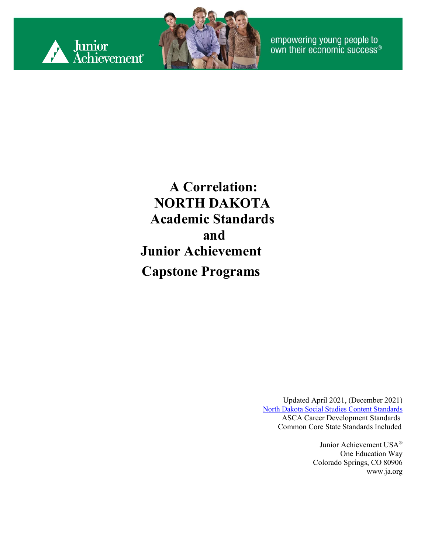



empowering young people to<br>own their economic success®

**A Correlation: NORTH DAKOTA Academic Standards and Junior Achievement Capstone Programs**

> Updated April 2021, (December 2021) [North Dakota Social Studies Content Standards](https://www.nd.gov/dpi/sites/www/files/documents/Academic%20Support/Rev5_2021.05.19_Social_Studies_Content%20Standards.pdf) ASCA Career Development Standards Common Core State Standards Included

> > Junior Achievement USA® One Education Way Colorado Springs, CO 80906 [www.ja.org](http://www.ja.org/)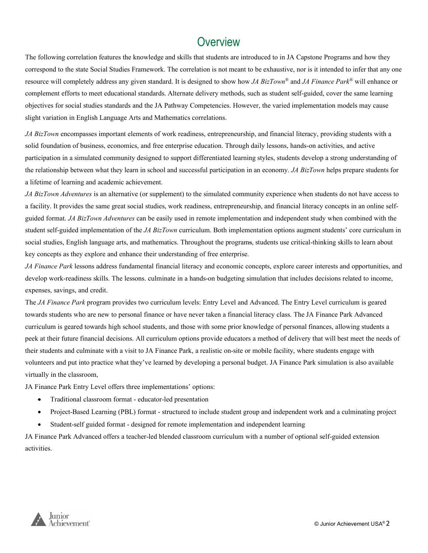#### **Overview**

The following correlation features the knowledge and skills that students are introduced to in JA Capstone Programs and how they correspond to the state Social Studies Framework. The correlation is not meant to be exhaustive, nor is it intended to infer that any one resource will completely address any given standard. It is designed to show how *JA BizTown®* and *JA Finance Park®* will enhance or complement efforts to meet educational standards. Alternate delivery methods, such as student self-guided, cover the same learning objectives for social studies standards and the JA Pathway Competencies. However, the varied implementation models may cause slight variation in English Language Arts and Mathematics correlations.

*JA BizTown* encompasses important elements of work readiness, entrepreneurship, and financial literacy, providing students with a solid foundation of business, economics, and free enterprise education. Through daily lessons, hands-on activities, and active participation in a simulated community designed to support differentiated learning styles, students develop a strong understanding of the relationship between what they learn in school and successful participation in an economy. *JA BizTown* helps prepare students for a lifetime of learning and academic achievement.

*JA BizTown Adventures* is an alternative (or supplement) to the simulated community experience when students do not have access to a facility. It provides the same great social studies, work readiness, entrepreneurship, and financial literacy concepts in an online selfguided format. *JA BizTown Adventures* can be easily used in remote implementation and independent study when combined with the student self-guided implementation of the *JA BizTown* curriculum. Both implementation options augment students' core curriculum in social studies, English language arts, and mathematics. Throughout the programs, students use critical-thinking skills to learn about key concepts as they explore and enhance their understanding of free enterprise.

*JA Finance Park* lessons address fundamental financial literacy and economic concepts, explore career interests and opportunities, and develop work-readiness skills. The lessons. culminate in a hands-on budgeting simulation that includes decisions related to income, expenses, savings, and credit.

The *JA Finance Park* program provides two curriculum levels: Entry Level and Advanced. The Entry Level curriculum is geared towards students who are new to personal finance or have never taken a financial literacy class. The JA Finance Park Advanced curriculum is geared towards high school students, and those with some prior knowledge of personal finances, allowing students a peek at their future financial decisions. All curriculum options provide educators a method of delivery that will best meet the needs of their students and culminate with a visit to JA Finance Park, a realistic on-site or mobile facility, where students engage with volunteers and put into practice what they've learned by developing a personal budget. JA Finance Park simulation is also available virtually in the classroom,

JA Finance Park Entry Level offers three implementations' options:

- Traditional classroom format educator-led presentation
- Project-Based Learning (PBL) format structured to include student group and independent work and a culminating project
- Student-self guided format designed for remote implementation and independent learning

JA Finance Park Advanced offers a teacher-led blended classroom curriculum with a number of optional self-guided extension activities.

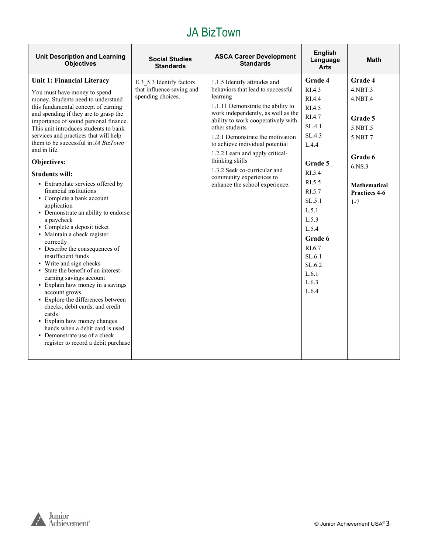| <b>Unit Description and Learning</b><br><b>Objectives</b>                                                                                                                                                                                                                                                                                                                                                                                                                                                                                                                                                                                                                                                                                                                                                                                                                                                                                                                                                                                                                                      | <b>Social Studies</b><br><b>Standards</b>                                  | <b>ASCA Career Development</b><br><b>Standards</b>                                                                                                                                                                                                                                                                                                                                                                                          | <b>English</b><br>Language<br><b>Arts</b>                                                                                                                                                                                      | <b>Math</b>                                                                                                                                                |
|------------------------------------------------------------------------------------------------------------------------------------------------------------------------------------------------------------------------------------------------------------------------------------------------------------------------------------------------------------------------------------------------------------------------------------------------------------------------------------------------------------------------------------------------------------------------------------------------------------------------------------------------------------------------------------------------------------------------------------------------------------------------------------------------------------------------------------------------------------------------------------------------------------------------------------------------------------------------------------------------------------------------------------------------------------------------------------------------|----------------------------------------------------------------------------|---------------------------------------------------------------------------------------------------------------------------------------------------------------------------------------------------------------------------------------------------------------------------------------------------------------------------------------------------------------------------------------------------------------------------------------------|--------------------------------------------------------------------------------------------------------------------------------------------------------------------------------------------------------------------------------|------------------------------------------------------------------------------------------------------------------------------------------------------------|
| Unit 1: Financial Literacy<br>You must have money to spend<br>money. Students need to understand<br>this fundamental concept of earning<br>and spending if they are to grasp the<br>importance of sound personal finance.<br>This unit introduces students to bank<br>services and practices that will help<br>them to be successful in <i>JA BizTown</i><br>and in life.<br>Objectives:<br><b>Students will:</b><br>• Extrapolate services offered by<br>financial institutions<br>• Complete a bank account<br>application<br>• Demonstrate an ability to endorse<br>a paycheck<br>• Complete a deposit ticket<br>· Maintain a check register<br>correctly<br>• Describe the consequences of<br>insufficient funds<br>• Write and sign checks<br>State the benefit of an interest-<br>earning savings account<br>• Explain how money in a savings<br>account grows<br>• Explore the differences between<br>checks, debit cards, and credit<br>cards<br>• Explain how money changes<br>hands when a debit card is used<br>• Demonstrate use of a check<br>register to record a debit purchase | E.3 5.3 Identify factors<br>that influence saving and<br>spending choices. | 1.1.5 Identify attitudes and<br>behaviors that lead to successful<br>learning<br>1.1.11 Demonstrate the ability to<br>work independently, as well as the<br>ability to work cooperatively with<br>other students<br>1.2.1 Demonstrate the motivation<br>to achieve individual potential<br>1.2.2 Learn and apply critical-<br>thinking skills<br>1.3.2 Seek co-curricular and<br>community experiences to<br>enhance the school experience. | Grade 4<br>RI.4.3<br>RI.4.4<br>RI.4.5<br>RI.4.7<br>SL.4.1<br>SL.4.3<br>L.4.4<br>Grade 5<br>RI.5.4<br>RI.5.5<br>RI.5.7<br>SL.5.1<br>L.5.1<br>L.5.3<br>L.5.4<br>Grade 6<br>RI.6.7<br>SL.6.1<br>SL.6.2<br>L.6.1<br>L.6.3<br>L.6.4 | <b>Grade 4</b><br>$4.$ NBT $.3$<br>4.NBT.4<br>Grade 5<br>5.NBT.5<br>5.NBT.7<br>Grade 6<br>6.NS.3<br><b>Mathematical</b><br><b>Practices 4-6</b><br>$1 - 7$ |
|                                                                                                                                                                                                                                                                                                                                                                                                                                                                                                                                                                                                                                                                                                                                                                                                                                                                                                                                                                                                                                                                                                |                                                                            |                                                                                                                                                                                                                                                                                                                                                                                                                                             |                                                                                                                                                                                                                                |                                                                                                                                                            |

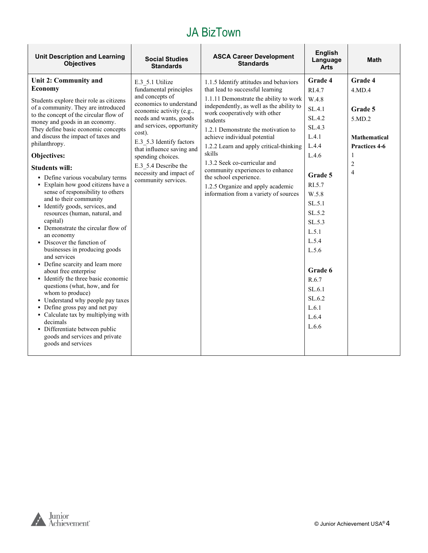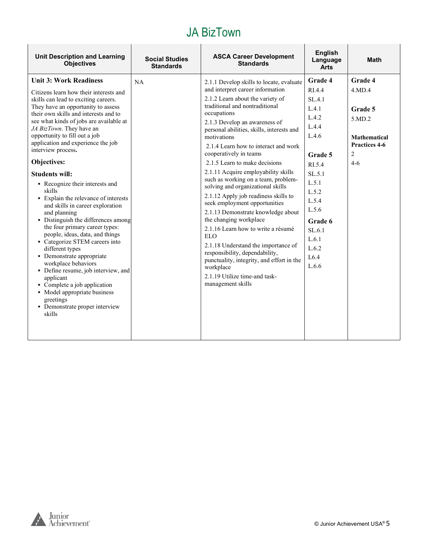| <b>Unit Description and Learning</b><br><b>Objectives</b>                                                                                                                                                                                                                                                                                                                                                                                                                                                                                                                                                                                                                                                                                                                                                                                                                                                                                             | <b>Social Studies</b><br><b>Standards</b> | <b>ASCA Career Development</b><br><b>Standards</b>                                                                                                                                                                                                                                                                                                                                                                                                                                                                                                                                                                                                                                                                                                                                                                                                                         | <b>English</b><br>Language<br><b>Arts</b>                                                                                                                                                | <b>Math</b>                                                                                  |
|-------------------------------------------------------------------------------------------------------------------------------------------------------------------------------------------------------------------------------------------------------------------------------------------------------------------------------------------------------------------------------------------------------------------------------------------------------------------------------------------------------------------------------------------------------------------------------------------------------------------------------------------------------------------------------------------------------------------------------------------------------------------------------------------------------------------------------------------------------------------------------------------------------------------------------------------------------|-------------------------------------------|----------------------------------------------------------------------------------------------------------------------------------------------------------------------------------------------------------------------------------------------------------------------------------------------------------------------------------------------------------------------------------------------------------------------------------------------------------------------------------------------------------------------------------------------------------------------------------------------------------------------------------------------------------------------------------------------------------------------------------------------------------------------------------------------------------------------------------------------------------------------------|------------------------------------------------------------------------------------------------------------------------------------------------------------------------------------------|----------------------------------------------------------------------------------------------|
| <b>Unit 3: Work Readiness</b><br>Citizens learn how their interests and<br>skills can lead to exciting careers.<br>They have an opportunity to assess<br>their own skills and interests and to<br>see what kinds of jobs are available at<br>JA BizTown. They have an<br>opportunity to fill out a job<br>application and experience the job<br>interview process.<br>Objectives:<br><b>Students will:</b><br>• Recognize their interests and<br>skills<br>• Explain the relevance of interests<br>and skills in career exploration<br>and planning<br>• Distinguish the differences among<br>the four primary career types:<br>people, ideas, data, and things<br>• Categorize STEM careers into<br>different types<br>• Demonstrate appropriate<br>workplace behaviors<br>• Define resume, job interview, and<br>applicant<br>• Complete a job application<br>• Model appropriate business<br>greetings<br>• Demonstrate proper interview<br>skills | NA                                        | 2.1.1 Develop skills to locate, evaluate<br>and interpret career information<br>2.1.2 Learn about the variety of<br>traditional and nontraditional<br>occupations<br>2.1.3 Develop an awareness of<br>personal abilities, skills, interests and<br>motivations<br>2.1.4 Learn how to interact and work<br>cooperatively in teams<br>2.1.5 Learn to make decisions<br>2.1.11 Acquire employability skills<br>such as working on a team, problem-<br>solving and organizational skills<br>2.1.12 Apply job readiness skills to<br>seek employment opportunities<br>2.1.13 Demonstrate knowledge about<br>the changing workplace<br>2.1.16 Learn how to write a résumé<br><b>ELO</b><br>2.1.18 Understand the importance of<br>responsibility, dependability,<br>punctuality, integrity, and effort in the<br>workplace<br>2.1.19 Utilize time-and task-<br>management skills | Grade 4<br>RI44<br>SL.4.1<br>L.4.1<br>L.4.2<br>L.4.4<br>L.4.6<br>Grade 5<br>RI.5.4<br>SL.5.1<br>L.5.1<br>L.5.2<br>L.5.4<br>L.5.6<br>Grade 6<br>SL.6.1<br>L.6.1<br>L.6.2<br>L6.4<br>L.6.6 | Grade 4<br>4.MD.4<br>Grade 5<br>5.MD.2<br><b>Mathematical</b><br>Practices 4-6<br>2<br>$4-6$ |
|                                                                                                                                                                                                                                                                                                                                                                                                                                                                                                                                                                                                                                                                                                                                                                                                                                                                                                                                                       |                                           |                                                                                                                                                                                                                                                                                                                                                                                                                                                                                                                                                                                                                                                                                                                                                                                                                                                                            |                                                                                                                                                                                          |                                                                                              |

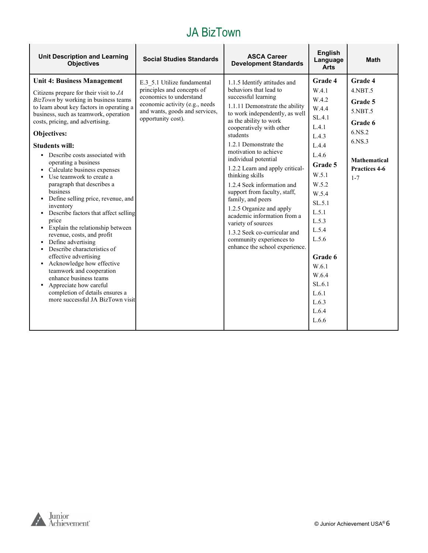| <b>Unit Description and Learning</b><br><b>Objectives</b>                                                                                                                                                                                                                                                                                                                                                                                                                                                                                                                                                                                                                                                                                                                                                                                                                                                           | <b>Social Studies Standards</b>                                                                                                                                                | <b>ASCA Career</b><br><b>Development Standards</b>                                                                                                                                                                                                                                                                                                                                                                                                                                                                                                                                                                    | <b>English</b><br>Language<br><b>Arts</b>                                                                                                                                                                                                       | <b>Math</b>                                                                                                                      |
|---------------------------------------------------------------------------------------------------------------------------------------------------------------------------------------------------------------------------------------------------------------------------------------------------------------------------------------------------------------------------------------------------------------------------------------------------------------------------------------------------------------------------------------------------------------------------------------------------------------------------------------------------------------------------------------------------------------------------------------------------------------------------------------------------------------------------------------------------------------------------------------------------------------------|--------------------------------------------------------------------------------------------------------------------------------------------------------------------------------|-----------------------------------------------------------------------------------------------------------------------------------------------------------------------------------------------------------------------------------------------------------------------------------------------------------------------------------------------------------------------------------------------------------------------------------------------------------------------------------------------------------------------------------------------------------------------------------------------------------------------|-------------------------------------------------------------------------------------------------------------------------------------------------------------------------------------------------------------------------------------------------|----------------------------------------------------------------------------------------------------------------------------------|
| <b>Unit 4: Business Management</b><br>Citizens prepare for their visit to $JA$<br>BizTown by working in business teams<br>to learn about key factors in operating a<br>business, such as teamwork, operation<br>costs, pricing, and advertising.<br>Objectives:<br><b>Students will:</b><br>• Describe costs associated with<br>operating a business<br>• Calculate business expenses<br>• Use teamwork to create a<br>paragraph that describes a<br>business<br>• Define selling price, revenue, and<br>inventory<br>• Describe factors that affect selling<br>price<br>• Explain the relationship between<br>revenue, costs, and profit<br>• Define advertising<br>• Describe characteristics of<br>effective advertising<br>• Acknowledge how effective<br>teamwork and cooperation<br>enhance business teams<br>• Appreciate how careful<br>completion of details ensures a<br>more successful JA BizTown visit | E.3 5.1 Utilize fundamental<br>principles and concepts of<br>economics to understand<br>economic activity (e.g., needs<br>and wants, goods and services,<br>opportunity cost). | 1.1.5 Identify attitudes and<br>behaviors that lead to<br>successful learning<br>1.1.11 Demonstrate the ability<br>to work independently, as well<br>as the ability to work<br>cooperatively with other<br>students<br>1.2.1 Demonstrate the<br>motivation to achieve<br>individual potential<br>1.2.2 Learn and apply critical-<br>thinking skills<br>1.2.4 Seek information and<br>support from faculty, staff,<br>family, and peers<br>1.2.5 Organize and apply<br>academic information from a<br>variety of sources<br>1.3.2 Seek co-curricular and<br>community experiences to<br>enhance the school experience. | Grade 4<br>W.4.1<br>W.4.2<br>W.4.4<br>SL.4.1<br>L.4.1<br>L.4.3<br>L.4.4<br>L.4.6<br>Grade 5<br>W.5.1<br>W.5.2<br>W.5.4<br>SL.5.1<br>L.5.1<br>L.5.3<br>L.5.4<br>L.5.6<br>Grade 6<br>W.6.1<br>W.6.4<br>SL.6.1<br>L.6.1<br>L.6.3<br>L.6.4<br>L.6.6 | Grade 4<br>$4.$ NBT $.5$<br>Grade 5<br>5.NBT.5<br>Grade 6<br>6.NS.2<br>6.NS.3<br><b>Mathematical</b><br>Practices 4-6<br>$1 - 7$ |

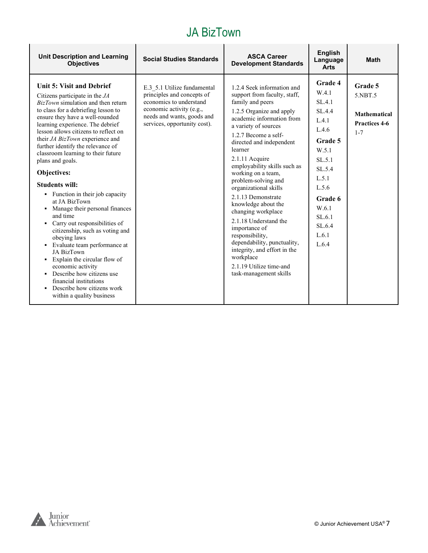| <b>Unit Description and Learning</b><br><b>Objectives</b>                                                                                                                                                                                                                                                                                                                                                                                                                                                                                                                                                                                                                                                                                                                                                                                                 | <b>Social Studies Standards</b>                                                                                                                                                | <b>ASCA Career</b><br><b>Development Standards</b>                                                                                                                                                                                                                                                                                                                                                                                                                                                                                                                                                                      | <b>English</b><br>Language<br><b>Arts</b>                                                                                                                                         | <b>Math</b>                                                           |
|-----------------------------------------------------------------------------------------------------------------------------------------------------------------------------------------------------------------------------------------------------------------------------------------------------------------------------------------------------------------------------------------------------------------------------------------------------------------------------------------------------------------------------------------------------------------------------------------------------------------------------------------------------------------------------------------------------------------------------------------------------------------------------------------------------------------------------------------------------------|--------------------------------------------------------------------------------------------------------------------------------------------------------------------------------|-------------------------------------------------------------------------------------------------------------------------------------------------------------------------------------------------------------------------------------------------------------------------------------------------------------------------------------------------------------------------------------------------------------------------------------------------------------------------------------------------------------------------------------------------------------------------------------------------------------------------|-----------------------------------------------------------------------------------------------------------------------------------------------------------------------------------|-----------------------------------------------------------------------|
| Unit 5: Visit and Debrief<br>Citizens participate in the $JA$<br>BizTown simulation and then return<br>to class for a debriefing lesson to<br>ensure they have a well-rounded<br>learning experience. The debrief<br>lesson allows citizens to reflect on<br>their JA BizTown experience and<br>further identify the relevance of<br>classroom learning to their future<br>plans and goals.<br>Objectives:<br><b>Students will:</b><br>• Function in their job capacity<br>at JA BizTown<br>• Manage their personal finances<br>and time<br>• Carry out responsibilities of<br>citizenship, such as voting and<br>obeying laws<br>• Evaluate team performance at<br>JA BizTown<br>Explain the circular flow of<br>economic activity<br>• Describe how citizens use<br>financial institutions<br>• Describe how citizens work<br>within a quality business | E.3 5.1 Utilize fundamental<br>principles and concepts of<br>economics to understand<br>economic activity (e.g.,<br>needs and wants, goods and<br>services, opportunity cost). | 1.2.4 Seek information and<br>support from faculty, staff,<br>family and peers<br>1.2.5 Organize and apply<br>academic information from<br>a variety of sources<br>1.2.7 Become a self-<br>directed and independent<br>learner<br>2.1.11 Acquire<br>employability skills such as<br>working on a team,<br>problem-solving and<br>organizational skills<br>2.1.13 Demonstrate<br>knowledge about the<br>changing workplace<br>2.1.18 Understand the<br>importance of<br>responsibility,<br>dependability, punctuality,<br>integrity, and effort in the<br>workplace<br>2.1.19 Utilize time-and<br>task-management skills | <b>Grade 4</b><br>W.4.1<br>SL.4.1<br>SL.4.4<br>L.4.1<br>L.4.6<br>Grade 5<br>W.5.1<br>SL.5.1<br>SL.5.4<br>L.5.1<br>L.5.6<br>Grade 6<br>W.6.1<br>SL.6.1<br>SL.6.4<br>L.6.1<br>L.6.4 | Grade 5<br>5.NBT.5<br><b>Mathematical</b><br>Practices 4-6<br>$1 - 7$ |

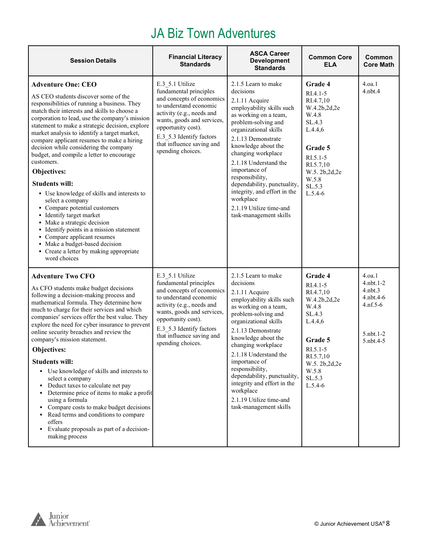#### JA Biz Town Adventures

| <b>Session Details</b>                                                                                                                                                                                                                                                                                                                                                                                                                                                                                                                                                                                                                                                                                                                                                                                                                                  | <b>Financial Literacy</b><br><b>Standards</b>                                                                                                                                                                                                                   | <b>ASCA Career</b><br><b>Development</b><br><b>Standards</b>                                                                                                                                                                                                                                                                                                                                                              | <b>Common Core</b><br><b>ELA</b>                                                                                                                                          | Common<br><b>Core Math</b>                                                                      |
|---------------------------------------------------------------------------------------------------------------------------------------------------------------------------------------------------------------------------------------------------------------------------------------------------------------------------------------------------------------------------------------------------------------------------------------------------------------------------------------------------------------------------------------------------------------------------------------------------------------------------------------------------------------------------------------------------------------------------------------------------------------------------------------------------------------------------------------------------------|-----------------------------------------------------------------------------------------------------------------------------------------------------------------------------------------------------------------------------------------------------------------|---------------------------------------------------------------------------------------------------------------------------------------------------------------------------------------------------------------------------------------------------------------------------------------------------------------------------------------------------------------------------------------------------------------------------|---------------------------------------------------------------------------------------------------------------------------------------------------------------------------|-------------------------------------------------------------------------------------------------|
| <b>Adventure One: CEO</b><br>AS CEO students discover some of the<br>responsibilities of running a business. They<br>match their interests and skills to choose a<br>corporation to lead, use the company's mission<br>statement to make a strategic decision, explore<br>market analysis to identify a target market,<br>compare applicant resumes to make a hiring<br>decision while considering the company<br>budget, and compile a letter to encourage<br>customers.<br>Objectives:<br><b>Students will:</b><br>• Use knowledge of skills and interests to<br>select a company<br>• Compare potential customers<br>• Identify target market<br>• Make a strategic decision<br>• Identify points in a mission statement<br>• Compare applicant resumes<br>• Make a budget-based decision<br>• Create a letter by making appropriate<br>word choices | E.3 5.1 Utilize<br>fundamental principles<br>and concepts of economics<br>to understand economic<br>activity (e.g., needs and<br>wants, goods and services,<br>opportunity cost).<br>E.3 5.3 Identify factors<br>that influence saving and<br>spending choices. | 2.1.5 Learn to make<br>decisions<br>2.1.11 Acquire<br>employability skills such<br>as working on a team,<br>problem-solving and<br>organizational skills<br>2.1.13 Demonstrate<br>knowledge about the<br>changing workplace<br>2.1.18 Understand the<br>importance of<br>responsibility,<br>dependability, punctuality,<br>integrity, and effort in the<br>workplace<br>2.1.19 Utilize time-and<br>task-management skills | Grade 4<br>$RI.4.1-5$<br>RI.4.7,10<br>W.4.2b,2d,2e<br>W.4.8<br>SL.4.3<br>L.4.4,6<br>Grade 5<br>$R1.5.1-5$<br>RI.5.7,10<br>W.5.2b,2d,2e<br>W.5.8<br>SL.5.3<br>$L.5.4-6$    | 4.oa.1<br>$4.$ n $bt.4$                                                                         |
| <b>Adventure Two CFO</b><br>As CFO students make budget decisions<br>following a decision-making process and<br>mathematical formula. They determine how<br>much to charge for their services and which<br>companies' services offer the best value. They<br>explore the need for cyber insurance to prevent<br>online security breaches and review the<br>company's mission statement.<br>Objectives:<br><b>Students will:</b><br>• Use knowledge of skills and interests to<br>select a company<br>Deduct taxes to calculate net pay<br>Determine price of items to make a profit<br>using a formula<br>• Compare costs to make budget decisions<br>Read terms and conditions to compare<br>offers<br>• Evaluate proposals as part of a decision-<br>making process                                                                                   | E.3 5.1 Utilize<br>fundamental principles<br>and concepts of economics<br>to understand economic<br>activity (e.g., needs and<br>wants, goods and services,<br>opportunity cost).<br>E.3 5.3 Identify factors<br>that influence saving and<br>spending choices. | 2.1.5 Learn to make<br>decisions<br>2.1.11 Acquire<br>employability skills such<br>as working on a team,<br>problem-solving and<br>organizational skills<br>2.1.13 Demonstrate<br>knowledge about the<br>changing workplace<br>2.1.18 Understand the<br>importance of<br>responsibility,<br>dependability, punctuality,<br>integrity and effort in the<br>workplace<br>2.1.19 Utilize time-and<br>task-management skills  | Grade 4<br>$RI.4.1-5$<br>RI.4.7,10<br>W.4.2b,2d,2e<br>W.4.8<br>SL.4.3<br>L.4.4,6<br>Grade 5<br>$RI.5.1 - 5$<br>RI.5.7,10<br>W.5. 2b,2d,2e<br>W.5.8<br>SL.5.3<br>$L.5.4-6$ | 4.0a.1<br>$4.$ nbt. $1-2$<br>$4.$ nbt $.3$<br>4.nbt.4-6<br>$4.nf.5-6$<br>5.nbt.1-2<br>5.nbt.4-5 |

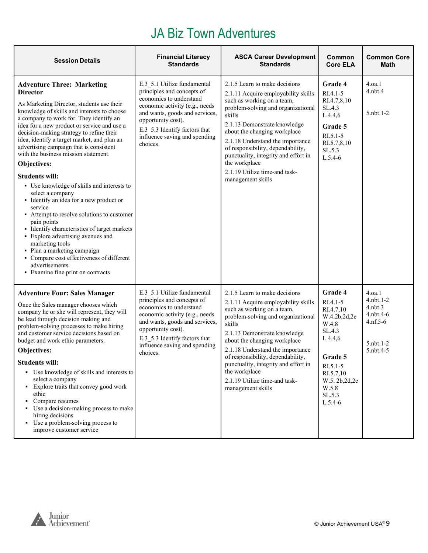### JA Biz Town Adventures

| <b>Session Details</b>                                                                                                                                                                                                                                                                                                                                                                                                                                                                                                                                                                                                                                                                                                                                                                                                                                                                           | <b>Financial Literacy</b><br><b>Standards</b>                                                                                                                                                                                                                | <b>ASCA Career Development</b><br><b>Standards</b>                                                                                                                                                                                                                                                                                                                                                         | Common<br><b>Core ELA</b>                                                                                                                                                 | <b>Common Core</b><br>Math                                                                            |
|--------------------------------------------------------------------------------------------------------------------------------------------------------------------------------------------------------------------------------------------------------------------------------------------------------------------------------------------------------------------------------------------------------------------------------------------------------------------------------------------------------------------------------------------------------------------------------------------------------------------------------------------------------------------------------------------------------------------------------------------------------------------------------------------------------------------------------------------------------------------------------------------------|--------------------------------------------------------------------------------------------------------------------------------------------------------------------------------------------------------------------------------------------------------------|------------------------------------------------------------------------------------------------------------------------------------------------------------------------------------------------------------------------------------------------------------------------------------------------------------------------------------------------------------------------------------------------------------|---------------------------------------------------------------------------------------------------------------------------------------------------------------------------|-------------------------------------------------------------------------------------------------------|
| <b>Adventure Three: Marketing</b><br><b>Director</b><br>As Marketing Director, students use their<br>knowledge of skills and interests to choose<br>a company to work for. They identify an<br>idea for a new product or service and use a<br>decision-making strategy to refine their<br>idea, identify a target market, and plan an<br>advertising campaign that is consistent<br>with the business mission statement.<br>Objectives:<br><b>Students will:</b><br>• Use knowledge of skills and interests to<br>select a company<br>• Identify an idea for a new product or<br>service<br>• Attempt to resolve solutions to customer<br>pain points<br>• Identify characteristics of target markets<br>• Explore advertising avenues and<br>marketing tools<br>· Plan a marketing campaign<br>• Compare cost effectiveness of different<br>advertisements<br>• Examine fine print on contracts | E.3 5.1 Utilize fundamental<br>principles and concepts of<br>economics to understand<br>economic activity (e.g., needs<br>and wants, goods and services,<br>opportunity cost).<br>E.3 5.3 Identify factors that<br>influence saving and spending<br>choices. | 2.1.5 Learn to make decisions<br>2.1.11 Acquire employability skills<br>such as working on a team,<br>problem-solving and organizational<br>skills<br>2.1.13 Demonstrate knowledge<br>about the changing workplace<br>2.1.18 Understand the importance<br>of responsibility, dependability,<br>punctuality, integrity and effort in<br>the workplace<br>2.1.19 Utilize time-and task-<br>management skills | Grade 4<br>RI.4.1-5<br>RI.4.7,8,10<br>SL.4.3<br>L.4.4,6<br>Grade 5<br>$RI.5.1 - 5$<br>RI.5.7,8,10<br>SL.5.3<br>$L.5.4-6$                                                  | 4.0a.1<br>$4.$ nbt. $4$<br>$5.$ nbt. $1-2$                                                            |
| <b>Adventure Four: Sales Manager</b><br>Once the Sales manager chooses which<br>company he or she will represent, they will<br>be lead through decision making and<br>problem-solving processes to make hiring<br>and customer service decisions based on<br>budget and work ethic parameters.<br>Objectives:<br><b>Students will:</b><br>• Use knowledge of skills and interests to<br>select a company<br>• Explore traits that convey good work<br>ethic<br>Compare resumes<br>• Use a decision-making process to make<br>hiring decisions<br>• Use a problem-solving process to<br>improve customer service                                                                                                                                                                                                                                                                                  | E.3 5.1 Utilize fundamental<br>principles and concepts of<br>economics to understand<br>economic activity (e.g., needs<br>and wants, goods and services,<br>opportunity cost).<br>E.3 5.3 Identify factors that<br>influence saving and spending<br>choices. | 2.1.5 Learn to make decisions<br>2.1.11 Acquire employability skills<br>such as working on a team,<br>problem-solving and organizational<br>skills<br>2.1.13 Demonstrate knowledge<br>about the changing workplace<br>2.1.18 Understand the importance<br>of responsibility, dependability,<br>punctuality, integrity and effort in<br>the workplace<br>2.1.19 Utilize time-and task-<br>management skills | Grade 4<br>$RI.4.1-5$<br>RI.4.7,10<br>W.4.2b,2d,2e<br>W.4.8<br>SL.4.3<br>L.4.4,6<br>Grade 5<br>$RI.5.1-5$<br>RI.5.7,10<br>W.5. 2b, 2d, 2e<br>W.5.8<br>SL.5.3<br>$L.5.4-6$ | 4.0a.1<br>$4.$ nbt. $1-2$<br>$4.$ nbt $.3$<br>$4.$ nbt. $4-6$<br>$4.nf.5-6$<br>5.nbt.1-2<br>5.nbt.4-5 |

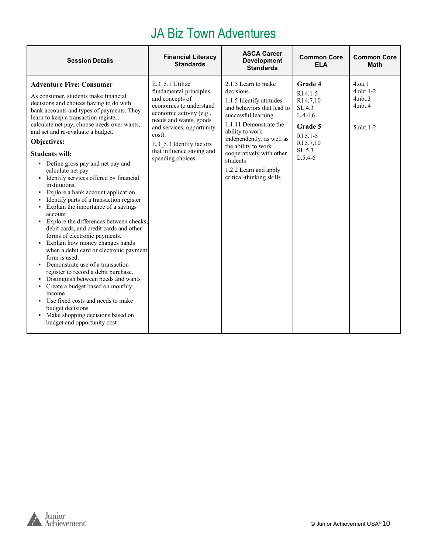#### JA Biz Town Adventures

| <b>Session Details</b>                                                                                                                                                                                                                                                                                                                                                                                                                                                                                                                                                                                                                                                                                                                                                                                                                                                                                                                                                                                                                                                                                                          | <b>Financial Literacy</b><br><b>Standards</b>                                                                                                                                                                                                                      | <b>ASCA Career</b><br><b>Development</b><br><b>Standards</b>                                                                                                                                                                                                                                                     | <b>Common Core</b><br><b>ELA</b>                                                                                            | <b>Common Core</b><br><b>Math</b>                                              |
|---------------------------------------------------------------------------------------------------------------------------------------------------------------------------------------------------------------------------------------------------------------------------------------------------------------------------------------------------------------------------------------------------------------------------------------------------------------------------------------------------------------------------------------------------------------------------------------------------------------------------------------------------------------------------------------------------------------------------------------------------------------------------------------------------------------------------------------------------------------------------------------------------------------------------------------------------------------------------------------------------------------------------------------------------------------------------------------------------------------------------------|--------------------------------------------------------------------------------------------------------------------------------------------------------------------------------------------------------------------------------------------------------------------|------------------------------------------------------------------------------------------------------------------------------------------------------------------------------------------------------------------------------------------------------------------------------------------------------------------|-----------------------------------------------------------------------------------------------------------------------------|--------------------------------------------------------------------------------|
| <b>Adventure Five: Consumer</b><br>As consumer, students make financial<br>decisions and choices having to do with<br>bank accounts and types of payments. They<br>learn to keep a transaction register,<br>calculate net pay, choose needs over wants,<br>and set and re-evaluate a budget.<br>Objectives:<br><b>Students will:</b><br>• Define gross pay and net pay and<br>calculate net pay<br>• Identify services offered by financial<br>institutions.<br>Explore a bank account application<br>Identify parts of a transaction register<br>Explain the importance of a savings<br>account<br>• Explore the differences between checks,<br>debit cards, and credit cards and other<br>forms of electronic payments.<br>• Explain how money changes hands<br>when a debit card or electronic payment<br>form is used.<br>Demonstrate use of a transaction<br>register to record a debit purchase.<br>• Distinguish between needs and wants<br>• Create a budget based on monthly<br>income<br>• Use fixed costs and needs to make<br>budget decisions<br>• Make shopping decisions based on<br>budget and opportunity cost | E.3 5.1 Utilize<br>fundamental principles<br>and concepts of<br>economics to understand<br>economic activity (e.g.,<br>needs and wants, goods<br>and services, opportunity<br>cost).<br>E.3 5.3 Identify factors<br>that influence saving and<br>spending choices. | 2.1.5 Learn to make<br>decisions.<br>1.1.5 Identify attitudes<br>and behaviors that lead to<br>successful learning<br>1.1.11 Demonstrate the<br>ability to work<br>independently, as well as<br>the ability to work<br>cooperatively with other<br>students<br>1.2.2 Learn and apply<br>critical-thinking skills | <b>Grade 4</b><br>$RI.4.1-5$<br>RI.4.7.10<br>SL.4.3<br>L.4.4,6<br>Grade 5<br>$R1.5.1-5$<br>RI.5.7.10<br>SL.5.3<br>$L.5.4-6$ | 4.0a.1<br>$4.$ nbt. $1-2$<br>$4.$ nbt $.3$<br>$4.$ nbt. $4$<br>$5.$ nbt. $1-2$ |

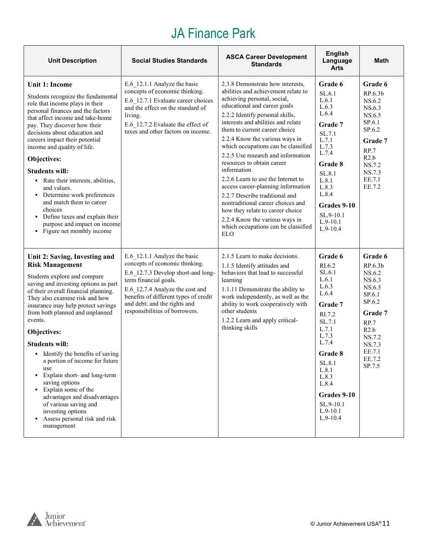# JA Finance Park

| <b>Unit Description</b>                                                                                                                                                                                                                                                                                                                                                                                                                                                                                                                                                                                                     | <b>Social Studies Standards</b>                                                                                                                                                                                                                                             | <b>ASCA Career Development</b><br><b>Standards</b>                                                                                                                                                                                                                                                                                                                                                                                                                                                                                                                                                                                                                                         | <b>English</b><br>Language<br>Arts                                                                                                                                                                                       | <b>Math</b>                                                                                                                                                   |
|-----------------------------------------------------------------------------------------------------------------------------------------------------------------------------------------------------------------------------------------------------------------------------------------------------------------------------------------------------------------------------------------------------------------------------------------------------------------------------------------------------------------------------------------------------------------------------------------------------------------------------|-----------------------------------------------------------------------------------------------------------------------------------------------------------------------------------------------------------------------------------------------------------------------------|--------------------------------------------------------------------------------------------------------------------------------------------------------------------------------------------------------------------------------------------------------------------------------------------------------------------------------------------------------------------------------------------------------------------------------------------------------------------------------------------------------------------------------------------------------------------------------------------------------------------------------------------------------------------------------------------|--------------------------------------------------------------------------------------------------------------------------------------------------------------------------------------------------------------------------|---------------------------------------------------------------------------------------------------------------------------------------------------------------|
| <b>Unit 1: Income</b><br>Students recognize the fundamental<br>role that income plays in their<br>personal finances and the factors<br>that affect income and take-home<br>pay. They discover how their<br>decisions about education and<br>careers impact their potential<br>income and quality of life.<br>Objectives:<br><b>Students will:</b><br>• Rate their interests, abilities,<br>and values.<br>Determine work preferences<br>$\blacksquare$<br>and match them to career<br>choices<br>• Define taxes and explain their<br>purpose and impact on income<br>• Figure net monthly income                            | E.6 12.1.1 Analyze the basic<br>concepts of economic thinking.<br>E.6 12.7.1 Evaluate career choices<br>and the effect on the standard of<br>living.<br>E.6 12.7.2 Evaluate the effect of<br>taxes and other factors on income.                                             | 2.3.8 Demonstrate how interests,<br>abilities and achievement relate to<br>achieving personal, social,<br>educational and career goals<br>2.2.2 Identify personal skills,<br>interests and abilities and relate<br>them to current career choice<br>2.2.4 Know the various ways in<br>which occupations can be classified<br>2.2.5 Use research and information<br>resources to obtain career<br>information<br>2.2.6 Learn to use the Internet to<br>access career-planning information<br>2.2.7 Describe traditional and<br>nontraditional career choices and<br>how they relate to career choice<br>2.2.4 Know the various ways in<br>which occupations can be classified<br><b>ELO</b> | Grade 6<br>SL.6.1<br>L.6.1<br>L.6.3<br>L.6.4<br>Grade 7<br>SL.7.1<br>L.7.1<br>L.7.3<br>L.7.4<br>Grade 8<br>SL.8.1<br>L.8.1<br>L.8.3<br>L.8.4<br>Grades 9-10<br>SL.9-10.1<br>$L.9-10.1$<br>$L.9-10.4$                     | Grade 6<br>RP.6.3b<br>NS.6.2<br>NS.6.3<br>NS.6.5<br>SP.6.1<br>SP.6.2<br>Grade 7<br>RP.7<br>R2.b<br>NS.7.2<br>NS.7.3<br>EE.7.1<br>EE.7.2                       |
| Unit 2: Saving, Investing and<br><b>Risk Management</b><br>Students explore and compare<br>saving and investing options as part<br>of their overall financial planning.<br>They also examine risk and how<br>insurance may help protect savings<br>from both planned and unplanned<br>events.<br>Objectives:<br><b>Students will:</b><br>• Identify the benefits of saving<br>a portion of income for future<br>use<br>Explain short- and long-term<br>saving options<br>• Explain some of the<br>advantages and disadvantages<br>of various saving and<br>investing options<br>Assess personal risk and risk<br>management | E.6 12.1.1 Analyze the basic<br>concepts of economic thinking.<br>E.6 12.7.3 Develop short-and long-<br>term financial goals.<br>E.6 12.7.4 Analyze the cost and<br>benefits of different types of credit<br>and debt; and the rights and<br>responsibilities of borrowers. | 2.1.5 Learn to make decisions.<br>1.1.5 Identify attitudes and<br>behaviors that lead to successful<br>learning<br>1.1.11 Demonstrate the ability to<br>work independently, as well as the<br>ability to work cooperatively with<br>other students<br>1.2.2 Learn and apply critical-<br>thinking skills                                                                                                                                                                                                                                                                                                                                                                                   | Grade 6<br>RI.6.2<br>SL.6.1<br>L.6.1<br>L.6.3<br>L.6.4<br>Grade 7<br>RI.7.2<br>SL.7.1<br>L.7.1<br>L.7.3<br>L.7.4<br>Grade 8<br>SL.8.1<br>L.8.1<br>L.8.3<br>L.8.4<br>Grades 9-10<br>SL.9-10.1<br>$L.9-10.1$<br>$L.9-10.4$ | Grade 6<br>RP.6.3 <sub>b</sub><br>NS.6.2<br>NS.6.3<br>NS.6.5<br>SP.6.1<br>SP.6.2<br>Grade 7<br>RP.7<br>R2.b<br>NS.7.2<br>NS.7.3<br>EE.7.1<br>EE.7.2<br>SP.7.5 |

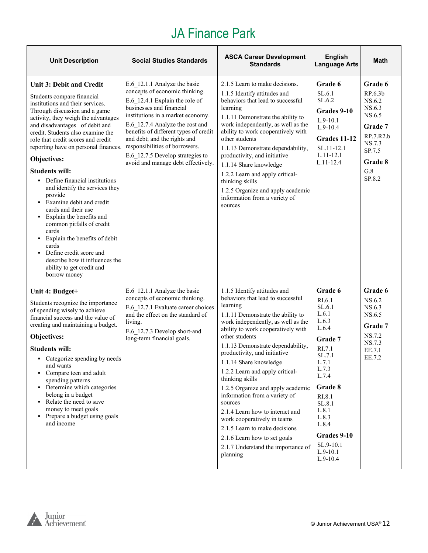# JA Finance Park

| <b>Unit Description</b>                                                                                                                                                                                                                                                                                                                                                                                                                                                                                                                                                                                                                                                                                                                                          | <b>Social Studies Standards</b>                                                                                                                                                                                                                                                                                                                                                           | <b>ASCA Career Development</b><br><b>Standards</b>                                                                                                                                                                                                                                                                                                                                                                                                                                                                                                                                                                                          | <b>English</b><br><b>Language Arts</b>                                                                                                                                                                                             | Math                                                                                                                                 |
|------------------------------------------------------------------------------------------------------------------------------------------------------------------------------------------------------------------------------------------------------------------------------------------------------------------------------------------------------------------------------------------------------------------------------------------------------------------------------------------------------------------------------------------------------------------------------------------------------------------------------------------------------------------------------------------------------------------------------------------------------------------|-------------------------------------------------------------------------------------------------------------------------------------------------------------------------------------------------------------------------------------------------------------------------------------------------------------------------------------------------------------------------------------------|---------------------------------------------------------------------------------------------------------------------------------------------------------------------------------------------------------------------------------------------------------------------------------------------------------------------------------------------------------------------------------------------------------------------------------------------------------------------------------------------------------------------------------------------------------------------------------------------------------------------------------------------|------------------------------------------------------------------------------------------------------------------------------------------------------------------------------------------------------------------------------------|--------------------------------------------------------------------------------------------------------------------------------------|
| Unit 3: Debit and Credit<br>Students compare financial<br>institutions and their services.<br>Through discussion and a game<br>activity, they weigh the advantages<br>and disadvantages of debit and<br>credit. Students also examine the<br>role that credit scores and credit<br>reporting have on personal finances.<br>Objectives:<br><b>Students will:</b><br>• Define financial institutions<br>and identify the services they<br>provide<br>• Examine debit and credit<br>cards and their use<br>Explain the benefits and<br>$\blacksquare$<br>common pitfalls of credit<br>cards<br>Explain the benefits of debit<br>$\blacksquare$<br>cards<br>• Define credit score and<br>describe how it influences the<br>ability to get credit and<br>borrow money | E.6 12.1.1 Analyze the basic<br>concepts of economic thinking.<br>E.6 12.4.1 Explain the role of<br>businesses and financial<br>institutions in a market economy.<br>E.6 12.7.4 Analyze the cost and<br>benefits of different types of credit<br>and debt; and the rights and<br>responsibilities of borrowers.<br>E.6 12.7.5 Develop strategies to<br>avoid and manage debt effectively. | 2.1.5 Learn to make decisions.<br>1.1.5 Identify attitudes and<br>behaviors that lead to successful<br>learning<br>1.1.11 Demonstrate the ability to<br>work independently, as well as the<br>ability to work cooperatively with<br>other students<br>1.1.13 Demonstrate dependability,<br>productivity, and initiative<br>1.1.14 Share knowledge<br>1.2.2 Learn and apply critical-<br>thinking skills<br>1.2.5 Organize and apply academic<br>information from a variety of<br>sources                                                                                                                                                    | Grade 6<br>SL.6.1<br>SL.6.2<br>Grades 9-10<br>$L.9-10.1$<br>$L.9-10.4$<br>Grades 11-12<br>SL.11-12.1<br>$L.11-12.1$<br>$L.11 - 12.4$                                                                                               | Grade 6<br>RP.6.3 <sub>b</sub><br>NS.6.2<br>NS.6.3<br>NS.6.5<br>Grade 7<br>RP.7.R2.b<br>NS.7.3<br>SP.7.5<br>Grade 8<br>G.8<br>SP.8.2 |
| Unit 4: Budget+<br>Students recognize the importance<br>of spending wisely to achieve<br>financial success and the value of<br>creating and maintaining a budget.<br>Objectives:<br><b>Students will:</b><br>Categorize spending by needs<br>and wants<br>Compare teen and adult<br>spending patterns<br>• Determine which categories<br>belong in a budget<br>Relate the need to save<br>money to meet goals<br>• Prepare a budget using goals<br>and income                                                                                                                                                                                                                                                                                                    | E.6 12.1.1 Analyze the basic<br>concepts of economic thinking.<br>E.6 12.7.1 Evaluate career choices<br>and the effect on the standard of<br>living.<br>E.6 12.7.3 Develop short-and<br>long-term financial goals.                                                                                                                                                                        | 1.1.5 Identify attitudes and<br>behaviors that lead to successful<br>learning<br>1.1.11 Demonstrate the ability to<br>work independently, as well as the<br>ability to work cooperatively with<br>other students<br>1.1.13 Demonstrate dependability,<br>productivity, and initiative<br>1.1.14 Share knowledge<br>1.2.2 Learn and apply critical-<br>thinking skills<br>1.2.5 Organize and apply academic<br>information from a variety of<br>sources<br>2.1.4 Learn how to interact and<br>work cooperatively in teams<br>2.1.5 Learn to make decisions<br>2.1.6 Learn how to set goals<br>2.1.7 Understand the importance of<br>planning | Grade 6<br>RI.6.1<br>SL.6.1<br>L.6.1<br>L.6.3<br>L.6.4<br>Grade 7<br>RI.7.1<br>SL.7.1<br>L.7.1<br>L.7.3<br>L.7.4<br>Grade 8<br>RI.8.1<br>SL.8.1<br>L.8.1<br>L.8.3<br>L.8.4<br>Grades 9-10<br>SL.9-10.1<br>$L.9-10.1$<br>$L.9-10.4$ | Grade 6<br>NS.6.2<br>NS.6.3<br>NS.6.5<br>Grade 7<br>NS.7.2<br>NS.7.3<br>EE.7.1<br>EE.7.2                                             |

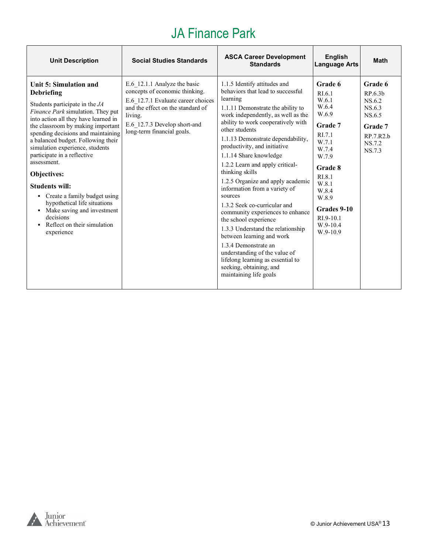# JA Finance Park

| <b>Unit Description</b>                                                                                                                                                                                                                                                                                                                                                                                                                                                                                                                                                          | <b>Social Studies Standards</b>                                                                                                                                                                                    | <b>ASCA Career Development</b><br><b>Standards</b>                                                                                                                                                                                                                                                                                                                                                                                                                                                                                                                                                                                                                                                                                                                       | <b>English</b><br><b>Language Arts</b>                                                                                                                                                               | <b>Math</b>                                                                                  |
|----------------------------------------------------------------------------------------------------------------------------------------------------------------------------------------------------------------------------------------------------------------------------------------------------------------------------------------------------------------------------------------------------------------------------------------------------------------------------------------------------------------------------------------------------------------------------------|--------------------------------------------------------------------------------------------------------------------------------------------------------------------------------------------------------------------|--------------------------------------------------------------------------------------------------------------------------------------------------------------------------------------------------------------------------------------------------------------------------------------------------------------------------------------------------------------------------------------------------------------------------------------------------------------------------------------------------------------------------------------------------------------------------------------------------------------------------------------------------------------------------------------------------------------------------------------------------------------------------|------------------------------------------------------------------------------------------------------------------------------------------------------------------------------------------------------|----------------------------------------------------------------------------------------------|
| Unit 5: Simulation and<br><b>Debriefing</b><br>Students participate in the JA<br>Finance Park simulation. They put<br>into action all they have learned in<br>the classroom by making important<br>spending decisions and maintaining<br>a balanced budget. Following their<br>simulation experience, students<br>participate in a reflective<br>assessment.<br>Objectives:<br><b>Students will:</b><br>Create a family budget using<br>hypothetical life situations<br>• Make saving and investment<br>decisions<br>Reflect on their simulation<br>$\blacksquare$<br>experience | E.6 12.1.1 Analyze the basic<br>concepts of economic thinking.<br>E.6 12.7.1 Evaluate career choices<br>and the effect on the standard of<br>living.<br>E.6 12.7.3 Develop short-and<br>long-term financial goals. | 1.1.5 Identify attitudes and<br>behaviors that lead to successful<br>learning<br>1.1.11 Demonstrate the ability to<br>work independently, as well as the<br>ability to work cooperatively with<br>other students<br>1.1.13 Demonstrate dependability,<br>productivity, and initiative<br>1.1.14 Share knowledge<br>1.2.2 Learn and apply critical-<br>thinking skills<br>1.2.5 Organize and apply academic<br>information from a variety of<br>sources<br>1.3.2 Seek co-curricular and<br>community experiences to enhance<br>the school experience<br>1.3.3 Understand the relationship<br>between learning and work<br>1.3.4 Demonstrate an<br>understanding of the value of<br>lifelong learning as essential to<br>seeking, obtaining, and<br>maintaining life goals | Grade 6<br>RI.6.1<br>W.6.1<br>W.6.4<br>W.6.9<br>Grade 7<br>RI.7.1<br>W.7.1<br>W.7.4<br>W.7.9<br>Grade 8<br>RI.8.1<br>W.8.1<br>W.8.4<br>W.8.9<br>Grades 9-10<br>$RI.9-10.1$<br>$W.9-10.4$<br>W.9-10.9 | Grade 6<br>RP.6.3b<br>NS.6.2<br>NS.6.3<br>NS.6.5<br>Grade 7<br>RP.7.R2.b<br>NS.7.2<br>NS.7.3 |

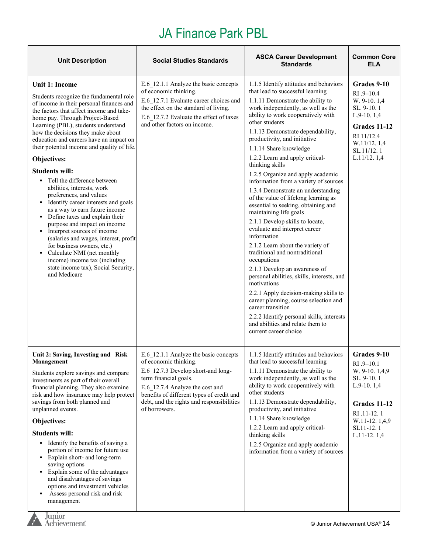# JA Finance Park PBL

| <b>Unit Description</b>                                                                                                                                                                                                                                                                                                                                                                                                                                                                                                                                                                                                                                                                                                                                                                                                                                                 | <b>Social Studies Standards</b>                                                                                                                                                                                                                                             | <b>ASCA Career Development</b><br><b>Standards</b>                                                                                                                                                                                                                                                                                                                                                                                                                                                                                                                                                                                                                                                                                                                                                                                                                                                                                                                                                                                                                                     | <b>Common Core</b><br><b>ELA</b>                                                                                                                         |
|-------------------------------------------------------------------------------------------------------------------------------------------------------------------------------------------------------------------------------------------------------------------------------------------------------------------------------------------------------------------------------------------------------------------------------------------------------------------------------------------------------------------------------------------------------------------------------------------------------------------------------------------------------------------------------------------------------------------------------------------------------------------------------------------------------------------------------------------------------------------------|-----------------------------------------------------------------------------------------------------------------------------------------------------------------------------------------------------------------------------------------------------------------------------|----------------------------------------------------------------------------------------------------------------------------------------------------------------------------------------------------------------------------------------------------------------------------------------------------------------------------------------------------------------------------------------------------------------------------------------------------------------------------------------------------------------------------------------------------------------------------------------------------------------------------------------------------------------------------------------------------------------------------------------------------------------------------------------------------------------------------------------------------------------------------------------------------------------------------------------------------------------------------------------------------------------------------------------------------------------------------------------|----------------------------------------------------------------------------------------------------------------------------------------------------------|
| Unit 1: Income<br>Students recognize the fundamental role<br>of income in their personal finances and<br>the factors that affect income and take-<br>home pay. Through Project-Based<br>Learning (PBL), students understand<br>how the decisions they make about<br>education and careers have an impact on<br>their potential income and quality of life.<br>Objectives:<br><b>Students will:</b><br>• Tell the difference between<br>abilities, interests, work<br>preferences, and values<br>Identify career interests and goals<br>as a way to earn future income<br>• Define taxes and explain their<br>purpose and impact on income<br>• Interpret sources of income<br>(salaries and wages, interest, profit<br>for business owners, etc.)<br>Calculate NMI (net monthly<br>income) income tax (including<br>state income tax), Social Security,<br>and Medicare | E.6 12.1.1 Analyze the basic concepts<br>of economic thinking.<br>E.6 12.7.1 Evaluate career choices and<br>the effect on the standard of living.<br>E.6 12.7.2 Evaluate the effect of taxes<br>and other factors on income.                                                | 1.1.5 Identify attitudes and behaviors<br>that lead to successful learning<br>1.1.11 Demonstrate the ability to<br>work independently, as well as the<br>ability to work cooperatively with<br>other students<br>1.1.13 Demonstrate dependability,<br>productivity, and initiative<br>1.1.14 Share knowledge<br>1.2.2 Learn and apply critical-<br>thinking skills<br>1.2.5 Organize and apply academic<br>information from a variety of sources<br>1.3.4 Demonstrate an understanding<br>of the value of lifelong learning as<br>essential to seeking, obtaining and<br>maintaining life goals<br>2.1.1 Develop skills to locate,<br>evaluate and interpret career<br>information<br>2.1.2 Learn about the variety of<br>traditional and nontraditional<br>occupations<br>2.1.3 Develop an awareness of<br>personal abilities, skills, interests, and<br>motivations<br>2.2.1 Apply decision-making skills to<br>career planning, course selection and<br>career transition<br>2.2.2 Identify personal skills, interests<br>and abilities and relate them to<br>current career choice | Grades 9-10<br>$RI.9 - 10.4$<br>W. 9-10. 1,4<br>SL. 9-10.1<br>$L.9-10.1,4$<br>Grades 11-12<br>RI 11/12.4<br>W.11/12.1,4<br>SL.11/12.1<br>L.11/12.1,4     |
| Unit 2: Saving, Investing and Risk<br>Management<br>Students explore savings and compare<br>investments as part of their overall<br>financial planning. They also examine<br>risk and how insurance may help protect<br>savings from both planned and<br>unplanned events.<br>Objectives:<br><b>Students will:</b><br>• Identify the benefits of saving a<br>portion of income for future use<br>• Explain short- and long-term<br>saving options<br>• Explain some of the advantages<br>and disadvantages of savings<br>options and investment vehicles<br>Assess personal risk and risk<br>٠<br>management                                                                                                                                                                                                                                                            | E.6 12.1.1 Analyze the basic concepts<br>of economic thinking.<br>E.6 12.7.3 Develop short-and long-<br>term financial goals.<br>E.6 12.7.4 Analyze the cost and<br>benefits of different types of credit and<br>debt, and the rights and responsibilities<br>of borrowers. | 1.1.5 Identify attitudes and behaviors<br>that lead to successful learning<br>1.1.11 Demonstrate the ability to<br>work independently, as well as the<br>ability to work cooperatively with<br>other students<br>1.1.13 Demonstrate dependability,<br>productivity, and initiative<br>1.1.14 Share knowledge<br>1.2.2 Learn and apply critical-<br>thinking skills<br>1.2.5 Organize and apply academic<br>information from a variety of sources                                                                                                                                                                                                                                                                                                                                                                                                                                                                                                                                                                                                                                       | Grades 9-10<br>$RI.9 - 10.1$<br>W. 9-10. 1,4,9<br>SL. 9-10.1<br>L.9-10.1,4<br>Grades 11-12<br>RI .11-12.1<br>W.11-12.1,4,9<br>SL11-12.1<br>$L.11-12.1,4$ |
| Junior<br>Achievement <sup>®</sup>                                                                                                                                                                                                                                                                                                                                                                                                                                                                                                                                                                                                                                                                                                                                                                                                                                      |                                                                                                                                                                                                                                                                             |                                                                                                                                                                                                                                                                                                                                                                                                                                                                                                                                                                                                                                                                                                                                                                                                                                                                                                                                                                                                                                                                                        | © Junior Achievement USA® 14                                                                                                                             |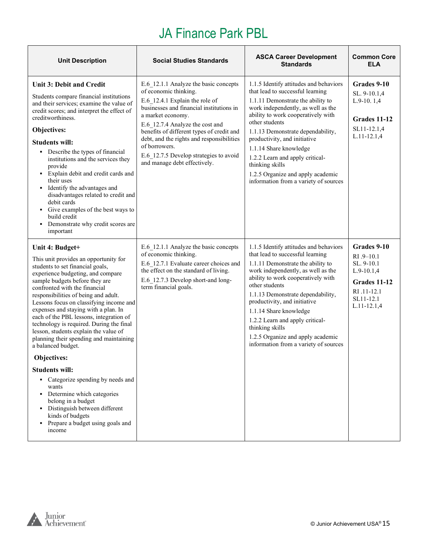# JA Finance Park PBL

| <b>Unit Description</b>                                                                                                                                                                                                                                                                                                                                                                                                                                                                                                                                                                                                                                                                                                                                                                       | <b>Social Studies Standards</b>                                                                                                                                                                                                                                                                                                                                                           | <b>ASCA Career Development</b><br><b>Standards</b>                                                                                                                                                                                                                                                                                                                                                                                               | <b>Common Core</b><br>ELA                                                                                            |
|-----------------------------------------------------------------------------------------------------------------------------------------------------------------------------------------------------------------------------------------------------------------------------------------------------------------------------------------------------------------------------------------------------------------------------------------------------------------------------------------------------------------------------------------------------------------------------------------------------------------------------------------------------------------------------------------------------------------------------------------------------------------------------------------------|-------------------------------------------------------------------------------------------------------------------------------------------------------------------------------------------------------------------------------------------------------------------------------------------------------------------------------------------------------------------------------------------|--------------------------------------------------------------------------------------------------------------------------------------------------------------------------------------------------------------------------------------------------------------------------------------------------------------------------------------------------------------------------------------------------------------------------------------------------|----------------------------------------------------------------------------------------------------------------------|
| <b>Unit 3: Debit and Credit</b><br>Students compare financial institutions<br>and their services; examine the value of<br>credit scores; and interpret the effect of<br>creditworthiness.<br>Objectives:<br><b>Students will:</b><br>• Describe the types of financial<br>institutions and the services they<br>provide<br>• Explain debit and credit cards and<br>their uses<br>• Identify the advantages and<br>disadvantages related to credit and<br>debit cards<br>• Give examples of the best ways to<br>build credit<br>• Demonstrate why credit scores are<br>important                                                                                                                                                                                                               | E.6 12.1.1 Analyze the basic concepts<br>of economic thinking.<br>E.6 12.4.1 Explain the role of<br>businesses and financial institutions in<br>a market economy.<br>E.6 12.7.4 Analyze the cost and<br>benefits of different types of credit and<br>debt, and the rights and responsibilities<br>of borrowers.<br>E.6 12.7.5 Develop strategies to avoid<br>and manage debt effectively. | 1.1.5 Identify attitudes and behaviors<br>that lead to successful learning<br>1.1.11 Demonstrate the ability to<br>work independently, as well as the<br>ability to work cooperatively with<br>other students<br>1.1.13 Demonstrate dependability,<br>productivity, and initiative<br>1.1.14 Share knowledge<br>1.2.2 Learn and apply critical-<br>thinking skills<br>1.2.5 Organize and apply academic<br>information from a variety of sources | Grades 9-10<br>SL. 9-10.1,4<br>$L.9-10.1,4$<br>Grades 11-12<br>SL11-12.1,4<br>$L.11 - 12.1,4$                        |
| Unit 4: Budget+<br>This unit provides an opportunity for<br>students to set financial goals,<br>experience budgeting, and compare<br>sample budgets before they are<br>confronted with the financial<br>responsibilities of being and adult.<br>Lessons focus on classifying income and<br>expenses and staying with a plan. In<br>each of the PBL lessons, integration of<br>technology is required. During the final<br>lesson, students explain the value of<br>planning their spending and maintaining<br>a balanced budget.<br>Objectives:<br><b>Students will:</b><br>• Categorize spending by needs and<br>wants<br>Determine which categories<br>٠<br>belong in a budget<br>Distinguish between different<br>٠<br>kinds of budgets<br>Prepare a budget using goals and<br>٠<br>income | E.6 12.1.1 Analyze the basic concepts<br>of economic thinking.<br>E.6 12.7.1 Evaluate career choices and<br>the effect on the standard of living.<br>E.6 12.7.3 Develop short-and long-<br>term financial goals.                                                                                                                                                                          | 1.1.5 Identify attitudes and behaviors<br>that lead to successful learning<br>1.1.11 Demonstrate the ability to<br>work independently, as well as the<br>ability to work cooperatively with<br>other students<br>1.1.13 Demonstrate dependability,<br>productivity, and initiative<br>1.1.14 Share knowledge<br>1.2.2 Learn and apply critical-<br>thinking skills<br>1.2.5 Organize and apply academic<br>information from a variety of sources | Grades 9-10<br>RI .9-10.1<br>SL. 9-10.1<br>$L.9-10.1,4$<br>Grades 11-12<br>RI .11-12.1<br>SL11-12.1<br>$L.11-12.1,4$ |

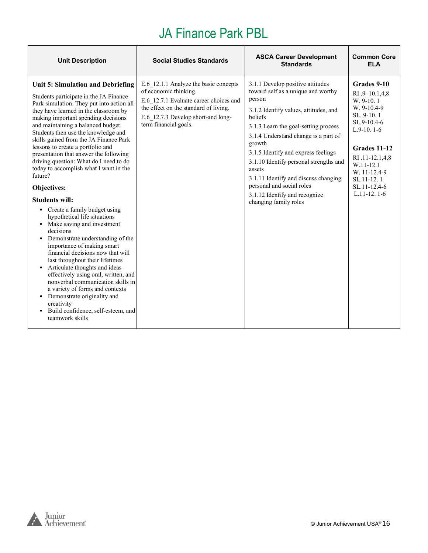# JA Finance Park PBL

| <b>Unit Description</b>                                                                                                                                                                                                                                                                                                                                                                                                                                                                                                                                                                                                                                                                                                                                                                                                                                                                                                                                                                                                                                                       | <b>Social Studies Standards</b>                                                                                                                                                                                  | <b>ASCA Career Development</b><br><b>Standards</b>                                                                                                                                                                                                                                                                                                                                                                                                       | <b>Common Core</b><br><b>ELA</b>                                                                                                                                                                                      |
|-------------------------------------------------------------------------------------------------------------------------------------------------------------------------------------------------------------------------------------------------------------------------------------------------------------------------------------------------------------------------------------------------------------------------------------------------------------------------------------------------------------------------------------------------------------------------------------------------------------------------------------------------------------------------------------------------------------------------------------------------------------------------------------------------------------------------------------------------------------------------------------------------------------------------------------------------------------------------------------------------------------------------------------------------------------------------------|------------------------------------------------------------------------------------------------------------------------------------------------------------------------------------------------------------------|----------------------------------------------------------------------------------------------------------------------------------------------------------------------------------------------------------------------------------------------------------------------------------------------------------------------------------------------------------------------------------------------------------------------------------------------------------|-----------------------------------------------------------------------------------------------------------------------------------------------------------------------------------------------------------------------|
| Unit 5: Simulation and Debriefing<br>Students participate in the JA Finance<br>Park simulation. They put into action all<br>they have learned in the classroom by<br>making important spending decisions<br>and maintaining a balanced budget.<br>Students then use the knowledge and<br>skills gained from the JA Finance Park<br>lessons to create a portfolio and<br>presentation that answer the following<br>driving question: What do I need to do<br>today to accomplish what I want in the<br>future?<br>Objectives:<br><b>Students will:</b><br>• Create a family budget using<br>hypothetical life situations<br>• Make saving and investment<br>decisions<br>• Demonstrate understanding of the<br>importance of making smart<br>financial decisions now that will<br>last throughout their lifetimes<br>• Articulate thoughts and ideas<br>effectively using oral, written, and<br>nonverbal communication skills in<br>a variety of forms and contexts<br>• Demonstrate originality and<br>creativity<br>• Build confidence, self-esteem, and<br>teamwork skills | E.6 12.1.1 Analyze the basic concepts<br>of economic thinking.<br>E.6 12.7.1 Evaluate career choices and<br>the effect on the standard of living.<br>E.6 12.7.3 Develop short-and long-<br>term financial goals. | 3.1.1 Develop positive attitudes<br>toward self as a unique and worthy<br>person<br>3.1.2 Identify values, attitudes, and<br>beliefs<br>3.1.3 Learn the goal-setting process<br>3.1.4 Understand change is a part of<br>growth<br>3.1.5 Identify and express feelings<br>3.1.10 Identify personal strengths and<br>assets<br>3.1.11 Identify and discuss changing<br>personal and social roles<br>3.1.12 Identify and recognize<br>changing family roles | Grades 9-10<br>RI .9-10.1,4,8<br>W. 9-10.1<br>W. 9-10.4-9<br>SL. 9-10.1<br>SL.9-10.4-6<br>$L.9-10.1-6$<br>Grades 11-12<br>RI .11-12.1,4,8<br>W.11-12.1<br>W. 11-12.4-9<br>SL.11-12.1<br>SL.11-12.4-6<br>$L.11-12.1-6$ |

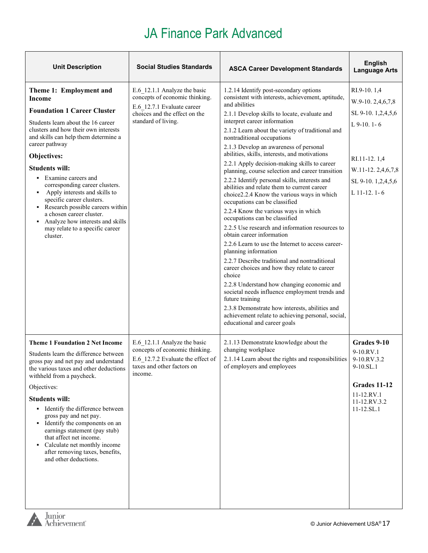$\overline{\phantom{a}}$ 

and the contract of the contract of the contract of the contract of

| <b>Unit Description</b>                                                                                                                                                                                                                                                                                                                                                                                                                                                                                                                                | <b>Social Studies Standards</b>                                                                                                                      | <b>ASCA Career Development Standards</b>                                                                                                                                                                                                                                                                                                                                                                                                                                                                                                                                                                                                                                                                                                                                                                                                                                                                                                                                                                                                                                                                                                                                                                                                                                 | <b>English</b><br><b>Language Arts</b>                                                                                                              |
|--------------------------------------------------------------------------------------------------------------------------------------------------------------------------------------------------------------------------------------------------------------------------------------------------------------------------------------------------------------------------------------------------------------------------------------------------------------------------------------------------------------------------------------------------------|------------------------------------------------------------------------------------------------------------------------------------------------------|--------------------------------------------------------------------------------------------------------------------------------------------------------------------------------------------------------------------------------------------------------------------------------------------------------------------------------------------------------------------------------------------------------------------------------------------------------------------------------------------------------------------------------------------------------------------------------------------------------------------------------------------------------------------------------------------------------------------------------------------------------------------------------------------------------------------------------------------------------------------------------------------------------------------------------------------------------------------------------------------------------------------------------------------------------------------------------------------------------------------------------------------------------------------------------------------------------------------------------------------------------------------------|-----------------------------------------------------------------------------------------------------------------------------------------------------|
| Theme 1: Employment and<br><b>Income</b><br><b>Foundation 1 Career Cluster</b><br>Students learn about the 16 career<br>clusters and how their own interests<br>and skills can help them determine a<br>career pathway<br>Objectives:<br><b>Students will:</b><br>• Examine careers and<br>corresponding career clusters.<br>Apply interests and skills to<br>٠<br>specific career clusters.<br>• Research possible careers within<br>a chosen career cluster.<br>Analyze how interests and skills<br>٠<br>may relate to a specific career<br>cluster. | E.6 12.1.1 Analyze the basic<br>concepts of economic thinking.<br>E.6 12.7.1 Evaluate career<br>choices and the effect on the<br>standard of living. | 1.2.14 Identify post-secondary options<br>consistent with interests, achievement, aptitude,<br>and abilities<br>2.1.1 Develop skills to locate, evaluate and<br>interpret career information<br>2.1.2 Learn about the variety of traditional and<br>nontraditional occupations<br>2.1.3 Develop an awareness of personal<br>abilities, skills, interests, and motivations<br>2.2.1 Apply decision-making skills to career<br>planning, course selection and career transition<br>2.2.2 Identify personal skills, interests and<br>abilities and relate them to current career<br>choice 2.2.4 Know the various ways in which<br>occupations can be classified<br>2.2.4 Know the various ways in which<br>occupations can be classified<br>2.2.5 Use research and information resources to<br>obtain career information<br>2.2.6 Learn to use the Internet to access career-<br>planning information<br>2.2.7 Describe traditional and nontraditional<br>career choices and how they relate to career<br>choice<br>2.2.8 Understand how changing economic and<br>societal needs influence employment trends and<br>future training<br>2.3.8 Demonstrate how interests, abilities and<br>achievement relate to achieving personal, social,<br>educational and career goals | RI.9-10.1,4<br>W.9-10.2,4,6,7,8<br>SL 9-10. 1,2,4,5,6<br>$L$ 9-10. 1-6<br>RI.11-12.1,4<br>W.11-12.2,4,6,7,8<br>SL 9-10. 1,2,4,5,6<br>$L$ 11-12. 1-6 |
| <b>Theme 1 Foundation 2 Net Income</b><br>Students learn the difference between<br>gross pay and net pay and understand<br>the various taxes and other deductions<br>withheld from a paycheck.<br>Objectives:<br><b>Students will:</b><br>• Identify the difference between<br>gross pay and net pay.<br>Identify the components on an<br>٠<br>earnings statement (pay stub)<br>that affect net income.<br>Calculate net monthly income<br>٠<br>after removing taxes, benefits,<br>and other deductions.                                               | E.6_12.1.1 Analyze the basic<br>concepts of economic thinking.<br>E.6 12.7.2 Evaluate the effect of<br>taxes and other factors on<br>income.         | 2.1.13 Demonstrate knowledge about the<br>changing workplace<br>2.1.14 Learn about the rights and responsibilities<br>of employers and employees                                                                                                                                                                                                                                                                                                                                                                                                                                                                                                                                                                                                                                                                                                                                                                                                                                                                                                                                                                                                                                                                                                                         | Grades 9-10<br>9-10.RV.1<br>9-10.RV.3.2<br>9-10.SL.1<br>Grades 11-12<br>11-12.RV.1<br>11-12.RV.3.2<br>11-12.SL.1                                    |

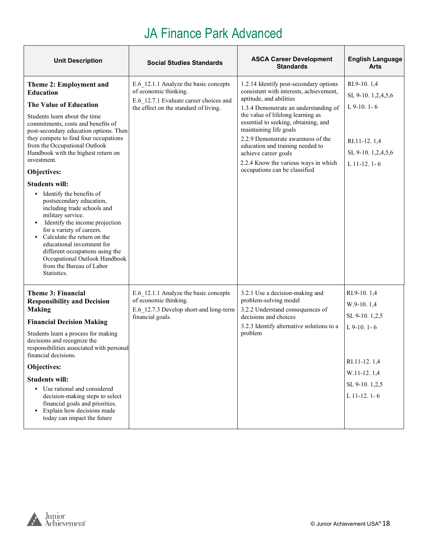| <b>Unit Description</b>                                                                                                                                                                                                                                                                                                                                                                                                                                                                                                                                                                                                                                                                                                        | <b>Social Studies Standards</b>                                                                                                                   | <b>ASCA Career Development</b><br><b>Standards</b>                                                                                                                                                                                                                                                                                                                                                                                      | <b>English Language</b><br>Arts                                                                                                 |
|--------------------------------------------------------------------------------------------------------------------------------------------------------------------------------------------------------------------------------------------------------------------------------------------------------------------------------------------------------------------------------------------------------------------------------------------------------------------------------------------------------------------------------------------------------------------------------------------------------------------------------------------------------------------------------------------------------------------------------|---------------------------------------------------------------------------------------------------------------------------------------------------|-----------------------------------------------------------------------------------------------------------------------------------------------------------------------------------------------------------------------------------------------------------------------------------------------------------------------------------------------------------------------------------------------------------------------------------------|---------------------------------------------------------------------------------------------------------------------------------|
| Theme 2: Employment and<br><b>Education</b><br>The Value of Education<br>Students learn about the time<br>commitments, costs and benefits of<br>post-secondary education options. Then<br>they compete to find four occupations<br>from the Occupational Outlook<br>Handbook with the highest return on<br>investment.<br>Objectives:<br><b>Students will:</b><br>• Identify the benefits of<br>postsecondary education,<br>including trade schools and<br>military service.<br>Identify the income projection<br>٠<br>for a variety of careers.<br>• Calculate the return on the<br>educational investment for<br>different occupations using the<br>Occupational Outlook Handbook<br>from the Bureau of Labor<br>Statistics. | E.6 12.1.1 Analyze the basic concepts<br>of economic thinking.<br>E.6 12.7.1 Evaluate career choices and<br>the effect on the standard of living. | 1.2.14 Identify post-secondary options<br>consistent with interests, achievement,<br>aptitude, and abilities<br>1.3.4 Demonstrate an understanding of<br>the value of lifelong learning as<br>essential to seeking, obtaining, and<br>maintaining life goals<br>2.2.9 Demonstrate awareness of the<br>education and training needed to<br>achieve career goals<br>2.2.4 Know the various ways in which<br>occupations can be classified | RI.9-10.1,4<br>SL 9-10. 1,2,4,5,6<br>$L$ 9-10. 1-6<br>RI.11-12.1,4<br>SL 9-10. 1,2,4,5,6<br>$L$ 11-12. 1-6                      |
| Theme 3: Financial<br><b>Responsibility and Decision</b><br><b>Making</b><br><b>Financial Decision Making</b><br>Students learn a process for making<br>decisions and recognize the<br>responsibilities associated with personal<br>financial decisions.<br>Objectives:<br><b>Students will:</b><br>• Use rational and considered<br>decision-making steps to select<br>financial goals and priorities.<br>Explain how decisions made<br>٠<br>today can impact the future                                                                                                                                                                                                                                                      | E.6 12.1.1 Analyze the basic concepts<br>of economic thinking.<br>E.6 12.7.3 Develop short-and long-term<br>financial goals.                      | 3.2.1 Use a decision-making and<br>problem-solving model<br>3.2.2 Understand consequences of<br>decisions and choices<br>3.2.3 Identify alternative solutions to a<br>problem                                                                                                                                                                                                                                                           | RI.9-10.1,4<br>$W.9-10.1,4$<br>SL 9-10. 1,2,5<br>$L$ 9-10. 1-6<br>RI.11-12.1,4<br>W.11-12.1,4<br>SL 9-10.1,2,5<br>L $11-12.1-6$ |

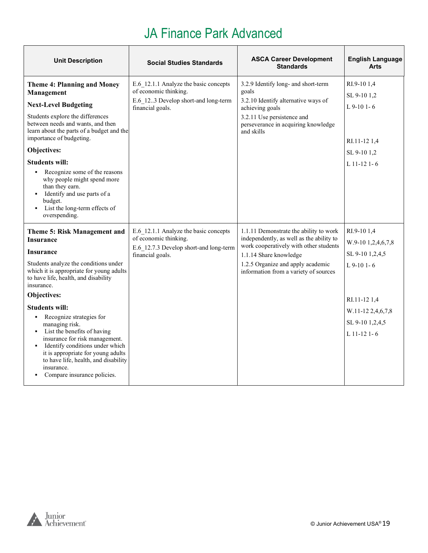| <b>Unit Description</b>                                                                                                                                                                                                                                                                                                                                                                                                                                                                                                                         | <b>Social Studies Standards</b>                                                                                              | <b>ASCA Career Development</b><br><b>Standards</b>                                                                                                                                                                                   | <b>English Language</b><br><b>Arts</b>                                                                                                     |
|-------------------------------------------------------------------------------------------------------------------------------------------------------------------------------------------------------------------------------------------------------------------------------------------------------------------------------------------------------------------------------------------------------------------------------------------------------------------------------------------------------------------------------------------------|------------------------------------------------------------------------------------------------------------------------------|--------------------------------------------------------------------------------------------------------------------------------------------------------------------------------------------------------------------------------------|--------------------------------------------------------------------------------------------------------------------------------------------|
| <b>Theme 4: Planning and Money</b><br>Management<br><b>Next-Level Budgeting</b><br>Students explore the differences<br>between needs and wants, and then<br>learn about the parts of a budget and the<br>importance of budgeting.<br>Objectives:<br><b>Students will:</b><br>• Recognize some of the reasons<br>why people might spend more<br>than they earn.<br>• Identify and use parts of a<br>budget.<br>• List the long-term effects of<br>overspending.                                                                                  | E.6 12.1.1 Analyze the basic concepts<br>of economic thinking.<br>E.6 123 Develop short-and long-term<br>financial goals.    | 3.2.9 Identify long- and short-term<br>goals<br>3.2.10 Identify alternative ways of<br>achieving goals<br>3.2.11 Use persistence and<br>perseverance in acquiring knowledge<br>and skills                                            | RI.9-101,4<br>SL 9-10 1.2<br>$L$ 9-10 1-6<br>RI.11-12 1,4<br>SL 9-10 1,2<br>L 11-12 1-6                                                    |
| <b>Theme 5: Risk Management and</b><br><b>Insurance</b><br><b>Insurance</b><br>Students analyze the conditions under<br>which it is appropriate for young adults<br>to have life, health, and disability<br>insurance.<br>Objectives:<br><b>Students will:</b><br>• Recognize strategies for<br>managing risk.<br>• List the benefits of having<br>insurance for risk management.<br>Identify conditions under which<br>it is appropriate for young adults<br>to have life, health, and disability<br>insurance.<br>Compare insurance policies. | E.6 12.1.1 Analyze the basic concepts<br>of economic thinking.<br>E.6 12.7.3 Develop short-and long-term<br>financial goals. | 1.1.11 Demonstrate the ability to work<br>independently, as well as the ability to<br>work cooperatively with other students<br>1.1.14 Share knowledge<br>1.2.5 Organize and apply academic<br>information from a variety of sources | RI.9-101,4<br>W.9-10 1,2,4,6,7,8<br>SL 9-10 1,2,4,5<br>$L$ 9-10 1-6<br>RI.11-12 1,4<br>W.11-12 2,4,6,7,8<br>SL 9-10 1,2,4,5<br>L 11-12 1-6 |

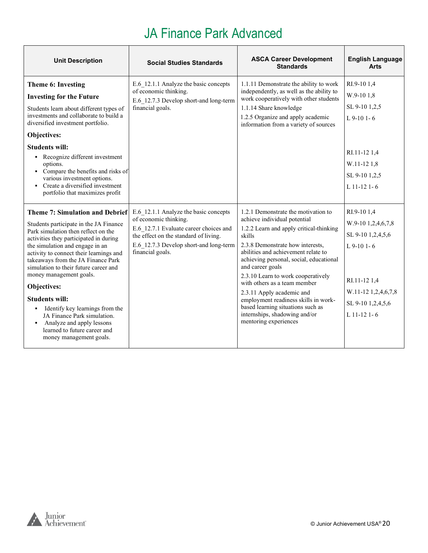| <b>Unit Description</b>                                                                                                                                                                                                                                                                                                                                                                                                                                                                                                                                         | <b>Social Studies Standards</b>                                                                                                                                                                                 | <b>ASCA Career Development</b><br><b>Standards</b>                                                                                                                                                                                                                                                                                                                                                                                                                                                           | <b>English Language</b><br>Arts                                                                                                                    |
|-----------------------------------------------------------------------------------------------------------------------------------------------------------------------------------------------------------------------------------------------------------------------------------------------------------------------------------------------------------------------------------------------------------------------------------------------------------------------------------------------------------------------------------------------------------------|-----------------------------------------------------------------------------------------------------------------------------------------------------------------------------------------------------------------|--------------------------------------------------------------------------------------------------------------------------------------------------------------------------------------------------------------------------------------------------------------------------------------------------------------------------------------------------------------------------------------------------------------------------------------------------------------------------------------------------------------|----------------------------------------------------------------------------------------------------------------------------------------------------|
| <b>Theme 6: Investing</b><br><b>Investing for the Future</b><br>Students learn about different types of<br>investments and collaborate to build a<br>diversified investment portfolio.<br>Objectives:<br><b>Students will:</b><br>Recognize different investment<br>options.<br>• Compare the benefits and risks of<br>various investment options.<br>• Create a diversified investment<br>portfolio that maximizes profit                                                                                                                                      | E.6 12.1.1 Analyze the basic concepts<br>of economic thinking.<br>E.6 12.7.3 Develop short-and long-term<br>financial goals.                                                                                    | 1.1.11 Demonstrate the ability to work<br>independently, as well as the ability to<br>work cooperatively with other students<br>1.1.14 Share knowledge<br>1.2.5 Organize and apply academic<br>information from a variety of sources                                                                                                                                                                                                                                                                         | RI.9-101,4<br>W.9-10 1,8<br>SL 9-10 1,2,5<br>$L$ 9-10 1-6<br>RI.11-12 1,4<br>W.11-12 1,8<br>SL 9-10 1,2,5<br>$L$ 11-12 1-6                         |
| <b>Theme 7: Simulation and Debrief</b><br>Students participate in the JA Finance<br>Park simulation then reflect on the<br>activities they participated in during<br>the simulation and engage in an<br>activity to connect their learnings and<br>takeaways from the JA Finance Park<br>simulation to their future career and<br>money management goals.<br>Objectives:<br><b>Students will:</b><br>• Identify key learnings from the<br>JA Finance Park simulation.<br>• Analyze and apply lessons<br>learned to future career and<br>money management goals. | E.6 12.1.1 Analyze the basic concepts<br>of economic thinking.<br>E.6 12.7.1 Evaluate career choices and<br>the effect on the standard of living.<br>E.6 12.7.3 Develop short-and long-term<br>financial goals. | 1.2.1 Demonstrate the motivation to<br>achieve individual potential<br>1.2.2 Learn and apply critical-thinking<br>skills<br>2.3.8 Demonstrate how interests,<br>abilities and achievement relate to<br>achieving personal, social, educational<br>and career goals<br>2.3.10 Learn to work cooperatively<br>with others as a team member<br>2.3.11 Apply academic and<br>employment readiness skills in work-<br>based learning situations such as<br>internships, shadowing and/or<br>mentoring experiences | RI.9-101,4<br>W.9-10 1,2,4,6,7,8<br>SL 9-10 1,2,4,5,6<br>$L$ 9-10 1-6<br>RI.11-12 1,4<br>W.11-12 1,2,4,6,7,8<br>SL 9-10 1,2,4,5,6<br>$L$ 11-12 1-6 |

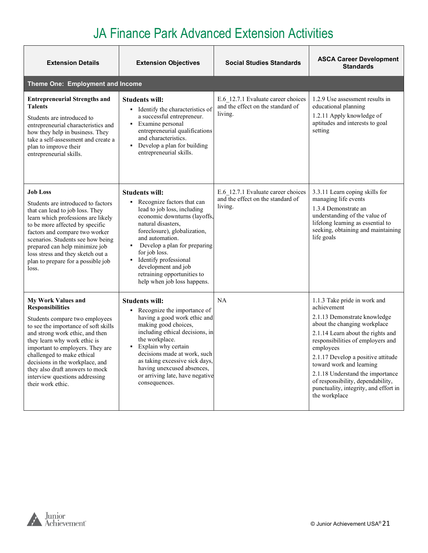| <b>Extension Details</b>                                                                                                                                                                                                                                                                                                                                                                         | <b>Extension Objectives</b>                                                                                                                                                                                                                                                                                                                                       | <b>Social Studies Standards</b>                                                    | <b>ASCA Career Development</b><br><b>Standards</b>                                                                                                                                                                                                                                                                                                                                                      |
|--------------------------------------------------------------------------------------------------------------------------------------------------------------------------------------------------------------------------------------------------------------------------------------------------------------------------------------------------------------------------------------------------|-------------------------------------------------------------------------------------------------------------------------------------------------------------------------------------------------------------------------------------------------------------------------------------------------------------------------------------------------------------------|------------------------------------------------------------------------------------|---------------------------------------------------------------------------------------------------------------------------------------------------------------------------------------------------------------------------------------------------------------------------------------------------------------------------------------------------------------------------------------------------------|
| Theme One: Employment and Income                                                                                                                                                                                                                                                                                                                                                                 |                                                                                                                                                                                                                                                                                                                                                                   |                                                                                    |                                                                                                                                                                                                                                                                                                                                                                                                         |
| <b>Entrepreneurial Strengths and</b><br><b>Talents</b><br>Students are introduced to<br>entrepreneurial characteristics and<br>how they help in business. They<br>take a self-assessment and create a<br>plan to improve their<br>entrepreneurial skills.                                                                                                                                        | <b>Students will:</b><br>• Identify the characteristics of<br>a successful entrepreneur.<br>Examine personal<br>٠<br>entrepreneurial qualifications<br>and characteristics.<br>• Develop a plan for building<br>entrepreneurial skills.                                                                                                                           | E.6 12.7.1 Evaluate career choices<br>and the effect on the standard of<br>living. | 1.2.9 Use assessment results in<br>educational planning<br>1.2.11 Apply knowledge of<br>aptitudes and interests to goal<br>setting                                                                                                                                                                                                                                                                      |
| <b>Job Loss</b><br>Students are introduced to factors<br>that can lead to job loss. They<br>learn which professions are likely<br>to be more affected by specific<br>factors and compare two worker<br>scenarios. Students see how being<br>prepared can help minimize job<br>loss stress and they sketch out a<br>plan to prepare for a possible job<br>loss.                                   | <b>Students will:</b><br>• Recognize factors that can<br>lead to job loss, including<br>economic downturns (layoffs,<br>natural disasters,<br>foreclosure), globalization,<br>and automation.<br>Develop a plan for preparing<br>for job loss.<br>Identify professional<br>development and job<br>retraining opportunities to<br>help when job loss happens.      | E.6 12.7.1 Evaluate career choices<br>and the effect on the standard of<br>living. | 3.3.11 Learn coping skills for<br>managing life events<br>1.3.4 Demonstrate an<br>understanding of the value of<br>lifelong learning as essential to<br>seeking, obtaining and maintaining<br>life goals                                                                                                                                                                                                |
| <b>My Work Values and</b><br><b>Responsibilities</b><br>Students compare two employees<br>to see the importance of soft skills<br>and strong work ethic, and then<br>they learn why work ethic is<br>important to employers. They are<br>challenged to make ethical<br>decisions in the workplace, and<br>they also draft answers to mock<br>interview questions addressing<br>their work ethic. | <b>Students will:</b><br>Recognize the importance of<br>$\mathbf{r}$<br>having a good work ethic and<br>making good choices,<br>including ethical decisions, in<br>the workplace.<br>Explain why certain<br>٠<br>decisions made at work, such<br>as taking excessive sick days,<br>having unexcused absences,<br>or arriving late, have negative<br>consequences. | NA                                                                                 | 1.1.3 Take pride in work and<br>achievement<br>2.1.13 Demonstrate knowledge<br>about the changing workplace<br>2.1.14 Learn about the rights and<br>responsibilities of employers and<br>employees<br>2.1.17 Develop a positive attitude<br>toward work and learning<br>2.1.18 Understand the importance<br>of responsibility, dependability,<br>punctuality, integrity, and effort in<br>the workplace |

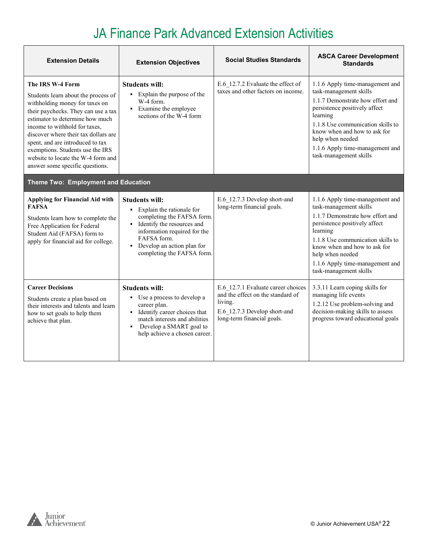| <b>Extension Details</b>                                                                                                                                                                                                                                                                                                                                                                      | <b>Extension Objectives</b>                                                                                                                                                                                                   | <b>Social Studies Standards</b>                                                                                                                  | <b>ASCA Career Development</b><br><b>Standards</b>                                                                                                                                                                                                                                               |
|-----------------------------------------------------------------------------------------------------------------------------------------------------------------------------------------------------------------------------------------------------------------------------------------------------------------------------------------------------------------------------------------------|-------------------------------------------------------------------------------------------------------------------------------------------------------------------------------------------------------------------------------|--------------------------------------------------------------------------------------------------------------------------------------------------|--------------------------------------------------------------------------------------------------------------------------------------------------------------------------------------------------------------------------------------------------------------------------------------------------|
| The IRS W-4 Form<br>Students learn about the process of<br>withholding money for taxes on<br>their paychecks. They can use a tax<br>estimator to determine how much<br>income to withhold for taxes,<br>discover where their tax dollars are<br>spent, and are introduced to tax<br>exemptions. Students use the IRS<br>website to locate the W-4 form and<br>answer some specific questions. | <b>Students will:</b><br>• Explain the purpose of the<br>W-4 form.<br>• Examine the employee<br>sections of the W-4 form                                                                                                      | E.6 12.7.2 Evaluate the effect of<br>taxes and other factors on income.                                                                          | 1.1.6 Apply time-management and<br>task-management skills<br>1.1.7 Demonstrate how effort and<br>persistence positively affect<br>learning<br>1.1.8 Use communication skills to<br>know when and how to ask for<br>help when needed<br>1.1.6 Apply time-management and<br>task-management skills |
| Theme Two: Employment and Education                                                                                                                                                                                                                                                                                                                                                           |                                                                                                                                                                                                                               |                                                                                                                                                  |                                                                                                                                                                                                                                                                                                  |
| Applying for Financial Aid with<br><b>FAFSA</b><br>Students learn how to complete the<br>Free Application for Federal<br>Student Aid (FAFSA) form to<br>apply for financial aid for college.                                                                                                                                                                                                  | <b>Students will:</b><br>• Explain the rationale for<br>completing the FAFSA form.<br>• Identify the resources and<br>information required for the<br>FAFSA form.<br>Develop an action plan for<br>completing the FAFSA form. | E.6 12.7.3 Develop short-and<br>long-term financial goals.                                                                                       | 1.1.6 Apply time-management and<br>task-management skills<br>1.1.7 Demonstrate how effort and<br>persistence positively affect<br>learning<br>1.1.8 Use communication skills to<br>know when and how to ask for<br>help when needed<br>1.1.6 Apply time-management and<br>task-management skills |
| <b>Career Decisions</b><br>Students create a plan based on<br>their interests and talents and learn<br>how to set goals to help them<br>achieve that plan.                                                                                                                                                                                                                                    | <b>Students will:</b><br>• Use a process to develop a<br>career plan.<br>• Identify career choices that<br>match interests and abilities<br>Develop a SMART goal to<br>٠<br>help achieve a chosen career.                     | E.6 12.7.1 Evaluate career choices<br>and the effect on the standard of<br>living.<br>E.6 12.7.3 Develop short-and<br>long-term financial goals. | 3.3.11 Learn coping skills for<br>managing life events<br>1.2.12 Use problem-solving and<br>decision-making skills to assess<br>progress toward educational goals                                                                                                                                |

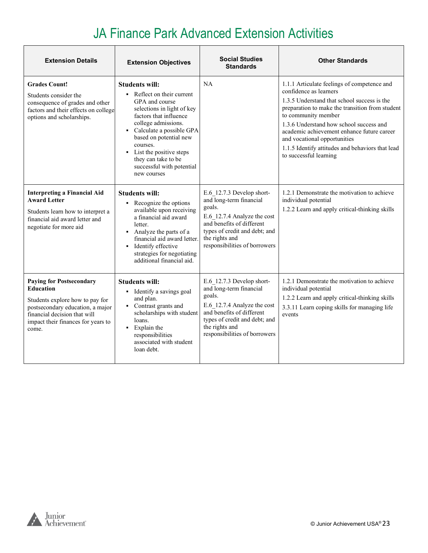| <b>Extension Details</b>                                                                                                                                                                                  | <b>Extension Objectives</b>                                                                                                                                                                                                                                                                                            | <b>Social Studies</b><br><b>Standards</b>                                                                                                                                                                      | <b>Other Standards</b>                                                                                                                                                                                                                                                                                                                                                                                |
|-----------------------------------------------------------------------------------------------------------------------------------------------------------------------------------------------------------|------------------------------------------------------------------------------------------------------------------------------------------------------------------------------------------------------------------------------------------------------------------------------------------------------------------------|----------------------------------------------------------------------------------------------------------------------------------------------------------------------------------------------------------------|-------------------------------------------------------------------------------------------------------------------------------------------------------------------------------------------------------------------------------------------------------------------------------------------------------------------------------------------------------------------------------------------------------|
| <b>Grades Count!</b><br>Students consider the<br>consequence of grades and other<br>factors and their effects on college<br>options and scholarships.                                                     | <b>Students will:</b><br>Reflect on their current<br>GPA and course<br>selections in light of key<br>factors that influence<br>college admissions.<br>• Calculate a possible GPA<br>based on potential new<br>courses.<br>• List the positive steps<br>they can take to be<br>successful with potential<br>new courses | NA                                                                                                                                                                                                             | 1.1.1 Articulate feelings of competence and<br>confidence as learners<br>1.3.5 Understand that school success is the<br>preparation to make the transition from student<br>to community member<br>1.3.6 Understand how school success and<br>academic achievement enhance future career<br>and vocational opportunities<br>1.1.5 Identify attitudes and behaviors that lead<br>to successful learning |
| <b>Interpreting a Financial Aid</b><br><b>Award Letter</b><br>Students learn how to interpret a<br>financial aid award letter and<br>negotiate for more aid                                               | <b>Students will:</b><br>• Recognize the options<br>available upon receiving<br>a financial aid award<br>letter.<br>• Analyze the parts of a<br>financial aid award letter.<br>• Identify effective<br>strategies for negotiating<br>additional financial aid.                                                         | E.6 12.7.3 Develop short-<br>and long-term financial<br>goals.<br>E.6 12.7.4 Analyze the cost<br>and benefits of different<br>types of credit and debt; and<br>the rights and<br>responsibilities of borrowers | 1.2.1 Demonstrate the motivation to achieve<br>individual potential<br>1.2.2 Learn and apply critical-thinking skills                                                                                                                                                                                                                                                                                 |
| <b>Paying for Postsecondary</b><br><b>Education</b><br>Students explore how to pay for<br>postsecondary education, a major<br>financial decision that will<br>impact their finances for years to<br>come. | <b>Students will:</b><br>• Identify a savings goal<br>and plan.<br>• Contrast grants and<br>scholarships with student<br>loans.<br>• Explain the<br>responsibilities<br>associated with student<br>loan debt.                                                                                                          | E.6 12.7.3 Develop short-<br>and long-term financial<br>goals.<br>E.6 12.7.4 Analyze the cost<br>and benefits of different<br>types of credit and debt; and<br>the rights and<br>responsibilities of borrowers | 1.2.1 Demonstrate the motivation to achieve<br>individual potential<br>1.2.2 Learn and apply critical-thinking skills<br>3.3.11 Learn coping skills for managing life<br>events                                                                                                                                                                                                                       |

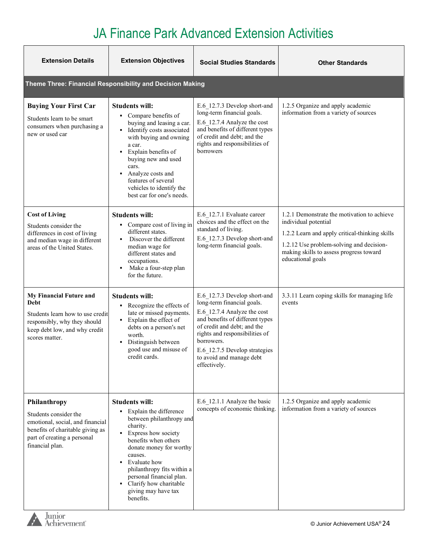| <b>Extension Details</b>                                                                                                                                        | <b>Extension Objectives</b>                                                                                                                                                                                                                                                                                                                                  | <b>Social Studies Standards</b>                                                                                                                                                                                                                                                          | <b>Other Standards</b>                                                                                                                                                                                                            |
|-----------------------------------------------------------------------------------------------------------------------------------------------------------------|--------------------------------------------------------------------------------------------------------------------------------------------------------------------------------------------------------------------------------------------------------------------------------------------------------------------------------------------------------------|------------------------------------------------------------------------------------------------------------------------------------------------------------------------------------------------------------------------------------------------------------------------------------------|-----------------------------------------------------------------------------------------------------------------------------------------------------------------------------------------------------------------------------------|
|                                                                                                                                                                 | Theme Three: Financial Responsibility and Decision Making                                                                                                                                                                                                                                                                                                    |                                                                                                                                                                                                                                                                                          |                                                                                                                                                                                                                                   |
| <b>Buying Your First Car</b><br>Students learn to be smart<br>consumers when purchasing a<br>new or used car                                                    | <b>Students will:</b><br>• Compare benefits of<br>buying and leasing a car.<br>• Identify costs associated<br>with buying and owning<br>a car.<br>Explain benefits of<br>н.<br>buying new and used<br>cars.<br>Analyze costs and<br>$\blacksquare$<br>features of several<br>vehicles to identify the<br>best car for one's needs.                           | E.6 12.7.3 Develop short-and<br>long-term financial goals.<br>E.6_12.7.4 Analyze the cost<br>and benefits of different types<br>of credit and debt; and the<br>rights and responsibilities of<br>borrowers                                                                               | 1.2.5 Organize and apply academic<br>information from a variety of sources                                                                                                                                                        |
| <b>Cost of Living</b><br>Students consider the<br>differences in cost of living<br>and median wage in different<br>areas of the United States.                  | <b>Students will:</b><br>• Compare cost of living in<br>different states.<br>Discover the different<br>median wage for<br>different states and<br>occupations.<br>Make a four-step plan<br>٠<br>for the future.                                                                                                                                              | E.6 12.7.1 Evaluate career<br>choices and the effect on the<br>standard of living.<br>E.6 12.7.3 Develop short-and<br>long-term financial goals.                                                                                                                                         | 1.2.1 Demonstrate the motivation to achieve<br>individual potential<br>1.2.2 Learn and apply critical-thinking skills<br>1.2.12 Use problem-solving and decision-<br>making skills to assess progress toward<br>educational goals |
| My Financial Future and<br>Debt<br>Students learn how to use credit<br>responsibly, why they should<br>keep debt low, and why credit<br>scores matter.          | <b>Students will:</b><br>• Recognize the effects of<br>late or missed payments.<br>Explain the effect of<br>٠<br>debts on a person's net<br>worth.<br>Distinguish between<br>$\blacksquare$<br>good use and misuse of<br>credit cards.                                                                                                                       | E.6 12.7.3 Develop short-and<br>long-term financial goals.<br>E.6 12.7.4 Analyze the cost<br>and benefits of different types<br>of credit and debt; and the<br>rights and responsibilities of<br>borrowers.<br>E.6 12.7.5 Develop strategies<br>to avoid and manage debt<br>effectively. | 3.3.11 Learn coping skills for managing life<br>events                                                                                                                                                                            |
| Philanthropy<br>Students consider the<br>emotional, social, and financial<br>benefits of charitable giving as<br>part of creating a personal<br>financial plan. | <b>Students will:</b><br>• Explain the difference<br>between philanthropy and<br>charity.<br>• Express how society<br>benefits when others<br>donate money for worthy<br>causes.<br>Evaluate how<br>$\blacksquare$<br>philanthropy fits within a<br>personal financial plan.<br>Clarify how charitable<br>$\blacksquare$<br>giving may have tax<br>benefits. | E.6_12.1.1 Analyze the basic<br>concepts of economic thinking.                                                                                                                                                                                                                           | 1.2.5 Organize and apply academic<br>information from a variety of sources                                                                                                                                                        |

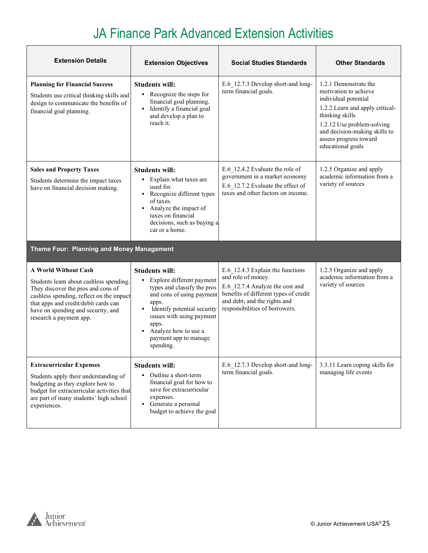| <b>Extension Details</b>                                                                                                                                                                                                                                          | <b>Extension Objectives</b>                                                                                                                                                                                                                                                            | <b>Social Studies Standards</b>                                                                                                                                                                      | <b>Other Standards</b>                                                                                                                                                                                                                     |
|-------------------------------------------------------------------------------------------------------------------------------------------------------------------------------------------------------------------------------------------------------------------|----------------------------------------------------------------------------------------------------------------------------------------------------------------------------------------------------------------------------------------------------------------------------------------|------------------------------------------------------------------------------------------------------------------------------------------------------------------------------------------------------|--------------------------------------------------------------------------------------------------------------------------------------------------------------------------------------------------------------------------------------------|
| <b>Planning for Financial Success</b><br>Students use critical thinking skills and<br>design to communicate the benefits of<br>financial goal planning.                                                                                                           | <b>Students will:</b><br>• Recognize the steps for<br>financial goal planning.<br>Identify a financial goal<br>٠<br>and develop a plan to<br>reach it.                                                                                                                                 | E.6 12.7.3 Develop short-and long-<br>term financial goals.                                                                                                                                          | 1.2.1 Demonstrate the<br>motivation to achieve<br>individual potential<br>1.2.2 Learn and apply critical-<br>thinking skills<br>1.2.12 Use problem-solving<br>and decision-making skills to<br>assess progress toward<br>educational goals |
| <b>Sales and Property Taxes</b><br>Students determine the impact taxes<br>have on financial decision making.                                                                                                                                                      | <b>Students will:</b><br>• Explain what taxes are<br>used for.<br>• Recognize different types<br>of taxes.<br>Analyze the impact of<br>taxes on financial<br>decisions, such as buying a<br>car or a home.                                                                             | E.6 12.4.2 Evaluate the role of<br>government in a market economy<br>E.6 12.7.2 Evaluate the effect of<br>taxes and other factors on income.                                                         | 1.2.5 Organize and apply<br>academic information from a<br>variety of sources                                                                                                                                                              |
| Theme Four: Planning and Money Management                                                                                                                                                                                                                         |                                                                                                                                                                                                                                                                                        |                                                                                                                                                                                                      |                                                                                                                                                                                                                                            |
| <b>A World Without Cash</b><br>Students learn about cashless spending.<br>They discover the pros and cons of<br>cashless spending, reflect on the impact<br>that apps and credit/debit cards can<br>have on spending and security, and<br>research a payment app. | <b>Students will:</b><br>Explore different payment<br>$\blacksquare$<br>types and classify the pros<br>and cons of using payment<br>apps.<br>Identify potential security<br>٠<br>issues with using payment<br>apps.<br>Analyze how to use a<br>٠<br>payment app to manage<br>spending. | E.6 12.4.3 Explain the functions<br>and role of money.<br>E.6 12.7.4 Analyze the cost and<br>benefits of different types of credit<br>and debt, and the rights and<br>responsibilities of borrowers. | 1.2.5 Organize and apply<br>academic information from a<br>variety of sources                                                                                                                                                              |
| <b>Extracurricular Expenses</b><br>Students apply their understanding of<br>budgeting as they explore how to<br>budget for extracurricular activities that<br>are part of many students' high school<br>experiences.                                              | <b>Students will:</b><br>• Outline a short-term<br>financial goal for how to<br>save for extracurricular<br>expenses.<br>• Generate a personal<br>budget to achieve the goal                                                                                                           | E.6_12.7.3 Develop short-and long-<br>term financial goals.                                                                                                                                          | 3.3.11 Learn coping skills for<br>managing life events                                                                                                                                                                                     |

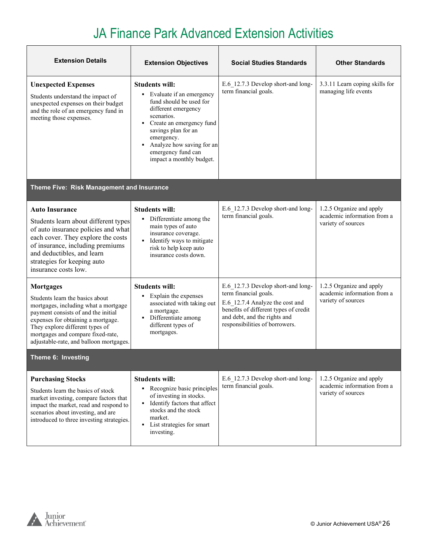| <b>Extension Details</b>                                                                                                                                                                                                                                                                    | <b>Extension Objectives</b>                                                                                                                                                                                                                                           | <b>Social Studies Standards</b>                                                                                                                                                                           | <b>Other Standards</b>                                                        |
|---------------------------------------------------------------------------------------------------------------------------------------------------------------------------------------------------------------------------------------------------------------------------------------------|-----------------------------------------------------------------------------------------------------------------------------------------------------------------------------------------------------------------------------------------------------------------------|-----------------------------------------------------------------------------------------------------------------------------------------------------------------------------------------------------------|-------------------------------------------------------------------------------|
| <b>Unexpected Expenses</b><br>Students understand the impact of<br>unexpected expenses on their budget<br>and the role of an emergency fund in<br>meeting those expenses.                                                                                                                   | <b>Students will:</b><br>• Evaluate if an emergency<br>fund should be used for<br>different emergency<br>scenarios.<br>• Create an emergency fund<br>savings plan for an<br>emergency.<br>Analyze how saving for an<br>emergency fund can<br>impact a monthly budget. | E.6 12.7.3 Develop short-and long-<br>term financial goals.                                                                                                                                               | 3.3.11 Learn coping skills for<br>managing life events                        |
| Theme Five: Risk Management and Insurance                                                                                                                                                                                                                                                   |                                                                                                                                                                                                                                                                       |                                                                                                                                                                                                           |                                                                               |
| <b>Auto Insurance</b><br>Students learn about different types<br>of auto insurance policies and what<br>each cover. They explore the costs<br>of insurance, including premiums<br>and deductibles, and learn<br>strategies for keeping auto<br>insurance costs low.                         | <b>Students will:</b><br>Differentiate among the<br>main types of auto<br>insurance coverage.<br>• Identify ways to mitigate<br>risk to help keep auto<br>insurance costs down.                                                                                       | E.6 12.7.3 Develop short-and long-<br>term financial goals.                                                                                                                                               | 1.2.5 Organize and apply<br>academic information from a<br>variety of sources |
| <b>Mortgages</b><br>Students learn the basics about<br>mortgages, including what a mortgage<br>payment consists of and the initial<br>expenses for obtaining a mortgage.<br>They explore different types of<br>mortgages and compare fixed-rate,<br>adjustable-rate, and balloon mortgages. | <b>Students will:</b><br>Explain the expenses<br>$\blacksquare$<br>associated with taking out<br>a mortgage.<br>· Differentiate among<br>different types of<br>mortgages.                                                                                             | E.6 12.7.3 Develop short-and long-<br>term financial goals.<br>E.6 12.7.4 Analyze the cost and<br>benefits of different types of credit<br>and debt, and the rights and<br>responsibilities of borrowers. | 1.2.5 Organize and apply<br>academic information from a<br>variety of sources |
| Theme 6: Investing                                                                                                                                                                                                                                                                          |                                                                                                                                                                                                                                                                       |                                                                                                                                                                                                           |                                                                               |
| <b>Purchasing Stocks</b><br>Students learn the basics of stock<br>market investing, compare factors that<br>impact the market, read and respond to<br>scenarios about investing, and are<br>introduced to three investing strategies.                                                       | <b>Students will:</b><br>• Recognize basic principles<br>of investing in stocks.<br>• Identify factors that affect<br>stocks and the stock<br>market.<br>• List strategies for smart<br>investing.                                                                    | E.6 12.7.3 Develop short-and long-<br>term financial goals.                                                                                                                                               | 1.2.5 Organize and apply<br>academic information from a<br>variety of sources |